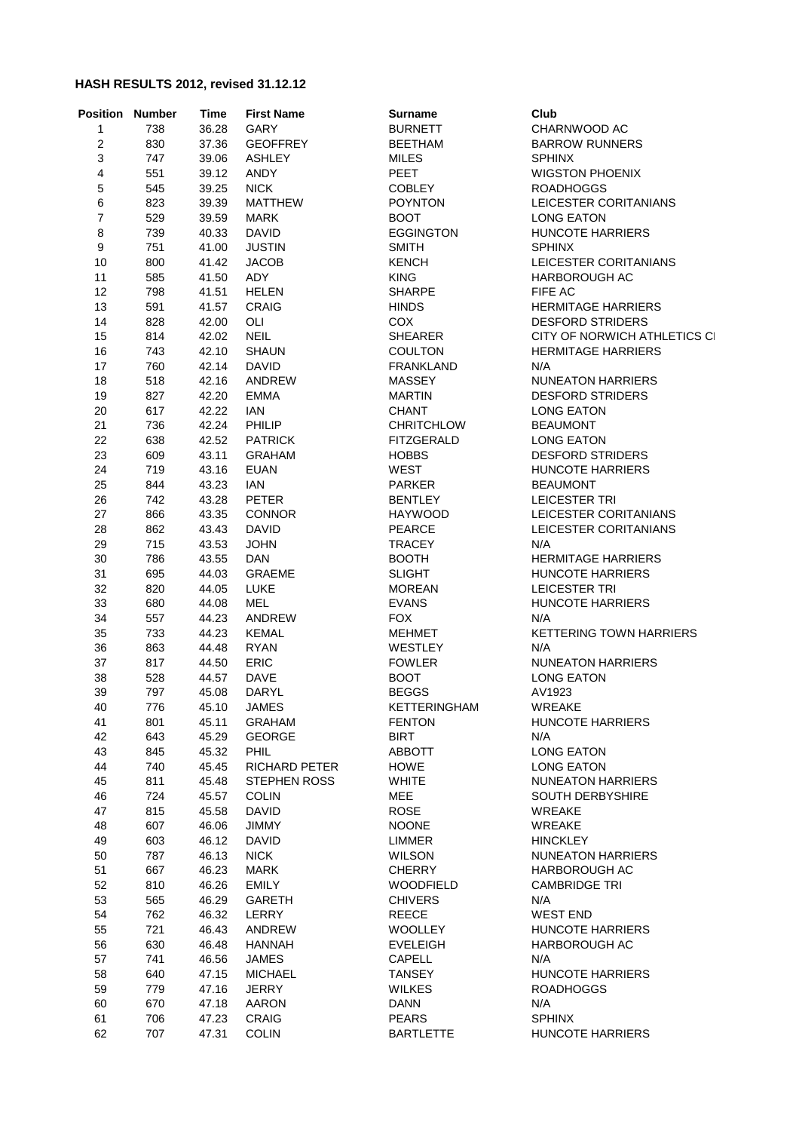## **HASH RESULTS 2012, revised 31.12.12**

| 1<br>738<br>36.28<br>GARY<br><b>BURNETT</b><br>CHARNWOOD AC<br>$\boldsymbol{2}$<br>830<br>37.36<br><b>GEOFFREY</b><br><b>BEETHAM</b><br><b>BARROW RUNNERS</b><br>3<br>747<br>39.06<br><b>ASHLEY</b><br><b>MILES</b><br><b>SPHINX</b><br>4<br>PEET<br>551<br>39.12<br><b>ANDY</b><br><b>WIGSTON PHOENIX</b><br>5<br>545<br>39.25<br><b>NICK</b><br><b>COBLEY</b><br><b>ROADHOGGS</b><br>$\,6$<br>823<br><b>POYNTON</b><br>39.39<br><b>MATTHEW</b><br>LEICESTER CORITANIANS<br>$\boldsymbol{7}$<br>529<br>39.59<br>MARK<br><b>BOOT</b><br><b>LONG EATON</b><br>8<br><b>DAVID</b><br>739<br>40.33<br><b>EGGINGTON</b><br><b>HUNCOTE HARRIERS</b><br>9<br><b>SMITH</b><br>751<br>41.00<br><b>JUSTIN</b><br><b>SPHINX</b><br>10<br>41.42<br><b>KENCH</b><br>LEICESTER CORITANIANS<br>800<br><b>JACOB</b><br>ADY<br>11<br>585<br>41.50<br><b>KING</b><br><b>HARBOROUGH AC</b><br>12<br>798<br>41.51<br><b>HELEN</b><br><b>SHARPE</b><br>FIFE AC<br>13<br><b>HERMITAGE HARRIERS</b><br>591<br>41.57<br><b>CRAIG</b><br><b>HINDS</b><br>OLI<br>COX<br>14<br>828<br>42.00<br><b>DESFORD STRIDERS</b><br><b>NEIL</b><br>15<br>814<br>42.02<br><b>SHEARER</b><br>CITY OF NORWICH ATHLETICS CI<br>16<br>743<br>42.10<br><b>SHAUN</b><br><b>COULTON</b><br><b>HERMITAGE HARRIERS</b><br>17<br>760<br>42.14<br><b>DAVID</b><br><b>FRANKLAND</b><br>N/A<br>18<br>518<br>42.16<br>ANDREW<br><b>MASSEY</b><br><b>NUNEATON HARRIERS</b><br>19<br>827<br>42.20<br><b>EMMA</b><br><b>MARTIN</b><br><b>DESFORD STRIDERS</b><br>20<br>617<br>42.22<br><b>IAN</b><br><b>CHANT</b><br><b>LONG EATON</b><br>42.24<br>21<br>736<br><b>PHILIP</b><br><b>CHRITCHLOW</b><br><b>BEAUMONT</b><br>22<br>638<br>42.52<br><b>PATRICK</b><br><b>FITZGERALD</b><br><b>LONG EATON</b><br>23<br>609<br>43.11<br><b>GRAHAM</b><br><b>HOBBS</b><br><b>DESFORD STRIDERS</b><br>24<br>719<br>43.16<br><b>EUAN</b><br>WEST<br><b>HUNCOTE HARRIERS</b><br>25<br>43.23<br>844<br><b>IAN</b><br><b>PARKER</b><br><b>BEAUMONT</b><br><b>PETER</b><br>26<br>742<br>43.28<br><b>BENTLEY</b><br><b>LEICESTER TRI</b><br>27<br>866<br>43.35<br><b>CONNOR</b><br><b>HAYWOOD</b><br>LEICESTER CORITANIANS<br><b>DAVID</b><br>28<br>862<br>43.43<br><b>PEARCE</b><br>LEICESTER CORITANIANS<br>29<br>715<br>43.53<br><b>JOHN</b><br><b>TRACEY</b><br>N/A<br>30<br>786<br>43.55<br>DAN<br><b>BOOTH</b><br><b>HERMITAGE HARRIERS</b><br>31<br>695<br>44.03<br><b>GRAEME</b><br><b>SLIGHT</b><br><b>HUNCOTE HARRIERS</b><br>32<br>820<br>44.05<br><b>LUKE</b><br><b>MOREAN</b><br><b>LEICESTER TRI</b><br>33<br>680<br>44.08<br><b>MEL</b><br><b>EVANS</b><br><b>HUNCOTE HARRIERS</b><br>34<br>557<br>44.23<br>ANDREW<br><b>FOX</b><br>N/A<br>35<br>733<br>44.23<br>KEMAL<br><b>MEHMET</b><br><b>KETTERING TOWN HARRIERS</b><br>36<br>863<br>44.48<br><b>RYAN</b><br>WESTLEY<br>N/A<br>37<br>817<br><b>ERIC</b><br>44.50<br><b>FOWLER</b><br><b>NUNEATON HARRIERS</b><br>38<br>528<br>44.57<br><b>DAVE</b><br><b>BOOT</b><br><b>LONG EATON</b><br>39<br><b>BEGGS</b><br>797<br>45.08<br>DARYL<br>AV1923<br><b>WREAKE</b><br>40<br>776<br>45.10 JAMES<br>KETTERINGHAM<br><b>GRAHAM</b><br>HUNCOTE HARRIERS<br>41<br>801<br>45.11<br><b>FENTON</b><br>42<br>643<br>45.29<br><b>GEORGE</b><br><b>BIRT</b><br>N/A<br>43<br>845<br>45.32<br><b>PHIL</b><br>ABBOTT<br><b>LONG EATON</b><br>44<br>740<br>45.45<br>RICHARD PETER<br>HOWE<br><b>LONG EATON</b><br>45<br>811<br>45.48<br><b>STEPHEN ROSS</b><br><b>WHITE</b><br><b>NUNEATON HARRIERS</b><br>46<br>724<br>45.57<br><b>COLIN</b><br><b>MEE</b><br>SOUTH DERBYSHIRE<br>47<br>815<br>45.58<br><b>DAVID</b><br><b>ROSE</b><br>WREAKE<br>48<br>607<br>46.06<br><b>NOONE</b><br>WREAKE<br><b>JIMMY</b><br>49<br>603<br>46.12<br><b>DAVID</b><br>LIMMER<br><b>HINCKLEY</b><br>50<br>787<br>46.13<br><b>NICK</b><br><b>WILSON</b><br><b>NUNEATON HARRIERS</b><br>51<br>667<br>46.23<br><b>CHERRY</b><br>MARK<br>HARBOROUGH AC<br>52<br>810<br>46.26<br>EMILY<br><b>WOODFIELD</b><br><b>CAMBRIDGE TRI</b><br>53<br>565<br>46.29<br><b>GARETH</b><br><b>CHIVERS</b><br>N/A<br>54<br>46.32<br><b>REECE</b><br><b>WEST END</b><br>762<br>LERRY<br>55<br>721<br>46.43<br>ANDREW<br><b>WOOLLEY</b><br>HUNCOTE HARRIERS<br>56<br>630<br>46.48<br>HANNAH<br><b>EVELEIGH</b><br><b>HARBOROUGH AC</b><br>N/A<br>57<br>741<br>46.56<br>JAMES<br><b>CAPELL</b><br>58<br>640<br>47.15<br><b>TANSEY</b><br><b>HUNCOTE HARRIERS</b><br><b>MICHAEL</b><br>59<br>779<br>47.16<br><b>JERRY</b><br><b>WILKES</b><br><b>ROADHOGGS</b><br>60<br>670<br>47.18<br><b>AARON</b><br><b>DANN</b><br>N/A<br>61<br>706<br>47.23<br>CRAIG<br>PEARS<br><b>SPHINX</b><br>707<br>47.31<br><b>HUNCOTE HARRIERS</b> | <b>Position Number</b> | Time | <b>First Name</b> | <b>Surname</b>   | Club |
|----------------------------------------------------------------------------------------------------------------------------------------------------------------------------------------------------------------------------------------------------------------------------------------------------------------------------------------------------------------------------------------------------------------------------------------------------------------------------------------------------------------------------------------------------------------------------------------------------------------------------------------------------------------------------------------------------------------------------------------------------------------------------------------------------------------------------------------------------------------------------------------------------------------------------------------------------------------------------------------------------------------------------------------------------------------------------------------------------------------------------------------------------------------------------------------------------------------------------------------------------------------------------------------------------------------------------------------------------------------------------------------------------------------------------------------------------------------------------------------------------------------------------------------------------------------------------------------------------------------------------------------------------------------------------------------------------------------------------------------------------------------------------------------------------------------------------------------------------------------------------------------------------------------------------------------------------------------------------------------------------------------------------------------------------------------------------------------------------------------------------------------------------------------------------------------------------------------------------------------------------------------------------------------------------------------------------------------------------------------------------------------------------------------------------------------------------------------------------------------------------------------------------------------------------------------------------------------------------------------------------------------------------------------------------------------------------------------------------------------------------------------------------------------------------------------------------------------------------------------------------------------------------------------------------------------------------------------------------------------------------------------------------------------------------------------------------------------------------------------------------------------------------------------------------------------------------------------------------------------------------------------------------------------------------------------------------------------------------------------------------------------------------------------------------------------------------------------------------------------------------------------------------------------------------------------------------------------------------------------------------------------------------------------------------------------------------------------------------------------------------------------------------------------------------------------------------------------------------------------------------------------------------------------------------------------------------------------------------------------------------------------------------------------------------------------------------------------------------------------------------------------------------------------------------------------------------------------------------------------------------------------------------------------------------------------------------------------------------------------------------------------------------------------------------------------------------------------------------------------------------------------------------------------------------------------------------------------------------------------------------------------------------------------------|------------------------|------|-------------------|------------------|------|
|                                                                                                                                                                                                                                                                                                                                                                                                                                                                                                                                                                                                                                                                                                                                                                                                                                                                                                                                                                                                                                                                                                                                                                                                                                                                                                                                                                                                                                                                                                                                                                                                                                                                                                                                                                                                                                                                                                                                                                                                                                                                                                                                                                                                                                                                                                                                                                                                                                                                                                                                                                                                                                                                                                                                                                                                                                                                                                                                                                                                                                                                                                                                                                                                                                                                                                                                                                                                                                                                                                                                                                                                                                                                                                                                                                                                                                                                                                                                                                                                                                                                                                                                                                                                                                                                                                                                                                                                                                                                                                                                                                                                                                                                      |                        |      |                   |                  |      |
|                                                                                                                                                                                                                                                                                                                                                                                                                                                                                                                                                                                                                                                                                                                                                                                                                                                                                                                                                                                                                                                                                                                                                                                                                                                                                                                                                                                                                                                                                                                                                                                                                                                                                                                                                                                                                                                                                                                                                                                                                                                                                                                                                                                                                                                                                                                                                                                                                                                                                                                                                                                                                                                                                                                                                                                                                                                                                                                                                                                                                                                                                                                                                                                                                                                                                                                                                                                                                                                                                                                                                                                                                                                                                                                                                                                                                                                                                                                                                                                                                                                                                                                                                                                                                                                                                                                                                                                                                                                                                                                                                                                                                                                                      |                        |      |                   |                  |      |
|                                                                                                                                                                                                                                                                                                                                                                                                                                                                                                                                                                                                                                                                                                                                                                                                                                                                                                                                                                                                                                                                                                                                                                                                                                                                                                                                                                                                                                                                                                                                                                                                                                                                                                                                                                                                                                                                                                                                                                                                                                                                                                                                                                                                                                                                                                                                                                                                                                                                                                                                                                                                                                                                                                                                                                                                                                                                                                                                                                                                                                                                                                                                                                                                                                                                                                                                                                                                                                                                                                                                                                                                                                                                                                                                                                                                                                                                                                                                                                                                                                                                                                                                                                                                                                                                                                                                                                                                                                                                                                                                                                                                                                                                      |                        |      |                   |                  |      |
|                                                                                                                                                                                                                                                                                                                                                                                                                                                                                                                                                                                                                                                                                                                                                                                                                                                                                                                                                                                                                                                                                                                                                                                                                                                                                                                                                                                                                                                                                                                                                                                                                                                                                                                                                                                                                                                                                                                                                                                                                                                                                                                                                                                                                                                                                                                                                                                                                                                                                                                                                                                                                                                                                                                                                                                                                                                                                                                                                                                                                                                                                                                                                                                                                                                                                                                                                                                                                                                                                                                                                                                                                                                                                                                                                                                                                                                                                                                                                                                                                                                                                                                                                                                                                                                                                                                                                                                                                                                                                                                                                                                                                                                                      |                        |      |                   |                  |      |
|                                                                                                                                                                                                                                                                                                                                                                                                                                                                                                                                                                                                                                                                                                                                                                                                                                                                                                                                                                                                                                                                                                                                                                                                                                                                                                                                                                                                                                                                                                                                                                                                                                                                                                                                                                                                                                                                                                                                                                                                                                                                                                                                                                                                                                                                                                                                                                                                                                                                                                                                                                                                                                                                                                                                                                                                                                                                                                                                                                                                                                                                                                                                                                                                                                                                                                                                                                                                                                                                                                                                                                                                                                                                                                                                                                                                                                                                                                                                                                                                                                                                                                                                                                                                                                                                                                                                                                                                                                                                                                                                                                                                                                                                      |                        |      |                   |                  |      |
|                                                                                                                                                                                                                                                                                                                                                                                                                                                                                                                                                                                                                                                                                                                                                                                                                                                                                                                                                                                                                                                                                                                                                                                                                                                                                                                                                                                                                                                                                                                                                                                                                                                                                                                                                                                                                                                                                                                                                                                                                                                                                                                                                                                                                                                                                                                                                                                                                                                                                                                                                                                                                                                                                                                                                                                                                                                                                                                                                                                                                                                                                                                                                                                                                                                                                                                                                                                                                                                                                                                                                                                                                                                                                                                                                                                                                                                                                                                                                                                                                                                                                                                                                                                                                                                                                                                                                                                                                                                                                                                                                                                                                                                                      |                        |      |                   |                  |      |
|                                                                                                                                                                                                                                                                                                                                                                                                                                                                                                                                                                                                                                                                                                                                                                                                                                                                                                                                                                                                                                                                                                                                                                                                                                                                                                                                                                                                                                                                                                                                                                                                                                                                                                                                                                                                                                                                                                                                                                                                                                                                                                                                                                                                                                                                                                                                                                                                                                                                                                                                                                                                                                                                                                                                                                                                                                                                                                                                                                                                                                                                                                                                                                                                                                                                                                                                                                                                                                                                                                                                                                                                                                                                                                                                                                                                                                                                                                                                                                                                                                                                                                                                                                                                                                                                                                                                                                                                                                                                                                                                                                                                                                                                      |                        |      |                   |                  |      |
|                                                                                                                                                                                                                                                                                                                                                                                                                                                                                                                                                                                                                                                                                                                                                                                                                                                                                                                                                                                                                                                                                                                                                                                                                                                                                                                                                                                                                                                                                                                                                                                                                                                                                                                                                                                                                                                                                                                                                                                                                                                                                                                                                                                                                                                                                                                                                                                                                                                                                                                                                                                                                                                                                                                                                                                                                                                                                                                                                                                                                                                                                                                                                                                                                                                                                                                                                                                                                                                                                                                                                                                                                                                                                                                                                                                                                                                                                                                                                                                                                                                                                                                                                                                                                                                                                                                                                                                                                                                                                                                                                                                                                                                                      |                        |      |                   |                  |      |
|                                                                                                                                                                                                                                                                                                                                                                                                                                                                                                                                                                                                                                                                                                                                                                                                                                                                                                                                                                                                                                                                                                                                                                                                                                                                                                                                                                                                                                                                                                                                                                                                                                                                                                                                                                                                                                                                                                                                                                                                                                                                                                                                                                                                                                                                                                                                                                                                                                                                                                                                                                                                                                                                                                                                                                                                                                                                                                                                                                                                                                                                                                                                                                                                                                                                                                                                                                                                                                                                                                                                                                                                                                                                                                                                                                                                                                                                                                                                                                                                                                                                                                                                                                                                                                                                                                                                                                                                                                                                                                                                                                                                                                                                      |                        |      |                   |                  |      |
|                                                                                                                                                                                                                                                                                                                                                                                                                                                                                                                                                                                                                                                                                                                                                                                                                                                                                                                                                                                                                                                                                                                                                                                                                                                                                                                                                                                                                                                                                                                                                                                                                                                                                                                                                                                                                                                                                                                                                                                                                                                                                                                                                                                                                                                                                                                                                                                                                                                                                                                                                                                                                                                                                                                                                                                                                                                                                                                                                                                                                                                                                                                                                                                                                                                                                                                                                                                                                                                                                                                                                                                                                                                                                                                                                                                                                                                                                                                                                                                                                                                                                                                                                                                                                                                                                                                                                                                                                                                                                                                                                                                                                                                                      |                        |      |                   |                  |      |
|                                                                                                                                                                                                                                                                                                                                                                                                                                                                                                                                                                                                                                                                                                                                                                                                                                                                                                                                                                                                                                                                                                                                                                                                                                                                                                                                                                                                                                                                                                                                                                                                                                                                                                                                                                                                                                                                                                                                                                                                                                                                                                                                                                                                                                                                                                                                                                                                                                                                                                                                                                                                                                                                                                                                                                                                                                                                                                                                                                                                                                                                                                                                                                                                                                                                                                                                                                                                                                                                                                                                                                                                                                                                                                                                                                                                                                                                                                                                                                                                                                                                                                                                                                                                                                                                                                                                                                                                                                                                                                                                                                                                                                                                      |                        |      |                   |                  |      |
|                                                                                                                                                                                                                                                                                                                                                                                                                                                                                                                                                                                                                                                                                                                                                                                                                                                                                                                                                                                                                                                                                                                                                                                                                                                                                                                                                                                                                                                                                                                                                                                                                                                                                                                                                                                                                                                                                                                                                                                                                                                                                                                                                                                                                                                                                                                                                                                                                                                                                                                                                                                                                                                                                                                                                                                                                                                                                                                                                                                                                                                                                                                                                                                                                                                                                                                                                                                                                                                                                                                                                                                                                                                                                                                                                                                                                                                                                                                                                                                                                                                                                                                                                                                                                                                                                                                                                                                                                                                                                                                                                                                                                                                                      |                        |      |                   |                  |      |
|                                                                                                                                                                                                                                                                                                                                                                                                                                                                                                                                                                                                                                                                                                                                                                                                                                                                                                                                                                                                                                                                                                                                                                                                                                                                                                                                                                                                                                                                                                                                                                                                                                                                                                                                                                                                                                                                                                                                                                                                                                                                                                                                                                                                                                                                                                                                                                                                                                                                                                                                                                                                                                                                                                                                                                                                                                                                                                                                                                                                                                                                                                                                                                                                                                                                                                                                                                                                                                                                                                                                                                                                                                                                                                                                                                                                                                                                                                                                                                                                                                                                                                                                                                                                                                                                                                                                                                                                                                                                                                                                                                                                                                                                      |                        |      |                   |                  |      |
|                                                                                                                                                                                                                                                                                                                                                                                                                                                                                                                                                                                                                                                                                                                                                                                                                                                                                                                                                                                                                                                                                                                                                                                                                                                                                                                                                                                                                                                                                                                                                                                                                                                                                                                                                                                                                                                                                                                                                                                                                                                                                                                                                                                                                                                                                                                                                                                                                                                                                                                                                                                                                                                                                                                                                                                                                                                                                                                                                                                                                                                                                                                                                                                                                                                                                                                                                                                                                                                                                                                                                                                                                                                                                                                                                                                                                                                                                                                                                                                                                                                                                                                                                                                                                                                                                                                                                                                                                                                                                                                                                                                                                                                                      |                        |      |                   |                  |      |
|                                                                                                                                                                                                                                                                                                                                                                                                                                                                                                                                                                                                                                                                                                                                                                                                                                                                                                                                                                                                                                                                                                                                                                                                                                                                                                                                                                                                                                                                                                                                                                                                                                                                                                                                                                                                                                                                                                                                                                                                                                                                                                                                                                                                                                                                                                                                                                                                                                                                                                                                                                                                                                                                                                                                                                                                                                                                                                                                                                                                                                                                                                                                                                                                                                                                                                                                                                                                                                                                                                                                                                                                                                                                                                                                                                                                                                                                                                                                                                                                                                                                                                                                                                                                                                                                                                                                                                                                                                                                                                                                                                                                                                                                      |                        |      |                   |                  |      |
|                                                                                                                                                                                                                                                                                                                                                                                                                                                                                                                                                                                                                                                                                                                                                                                                                                                                                                                                                                                                                                                                                                                                                                                                                                                                                                                                                                                                                                                                                                                                                                                                                                                                                                                                                                                                                                                                                                                                                                                                                                                                                                                                                                                                                                                                                                                                                                                                                                                                                                                                                                                                                                                                                                                                                                                                                                                                                                                                                                                                                                                                                                                                                                                                                                                                                                                                                                                                                                                                                                                                                                                                                                                                                                                                                                                                                                                                                                                                                                                                                                                                                                                                                                                                                                                                                                                                                                                                                                                                                                                                                                                                                                                                      |                        |      |                   |                  |      |
|                                                                                                                                                                                                                                                                                                                                                                                                                                                                                                                                                                                                                                                                                                                                                                                                                                                                                                                                                                                                                                                                                                                                                                                                                                                                                                                                                                                                                                                                                                                                                                                                                                                                                                                                                                                                                                                                                                                                                                                                                                                                                                                                                                                                                                                                                                                                                                                                                                                                                                                                                                                                                                                                                                                                                                                                                                                                                                                                                                                                                                                                                                                                                                                                                                                                                                                                                                                                                                                                                                                                                                                                                                                                                                                                                                                                                                                                                                                                                                                                                                                                                                                                                                                                                                                                                                                                                                                                                                                                                                                                                                                                                                                                      |                        |      |                   |                  |      |
|                                                                                                                                                                                                                                                                                                                                                                                                                                                                                                                                                                                                                                                                                                                                                                                                                                                                                                                                                                                                                                                                                                                                                                                                                                                                                                                                                                                                                                                                                                                                                                                                                                                                                                                                                                                                                                                                                                                                                                                                                                                                                                                                                                                                                                                                                                                                                                                                                                                                                                                                                                                                                                                                                                                                                                                                                                                                                                                                                                                                                                                                                                                                                                                                                                                                                                                                                                                                                                                                                                                                                                                                                                                                                                                                                                                                                                                                                                                                                                                                                                                                                                                                                                                                                                                                                                                                                                                                                                                                                                                                                                                                                                                                      |                        |      |                   |                  |      |
|                                                                                                                                                                                                                                                                                                                                                                                                                                                                                                                                                                                                                                                                                                                                                                                                                                                                                                                                                                                                                                                                                                                                                                                                                                                                                                                                                                                                                                                                                                                                                                                                                                                                                                                                                                                                                                                                                                                                                                                                                                                                                                                                                                                                                                                                                                                                                                                                                                                                                                                                                                                                                                                                                                                                                                                                                                                                                                                                                                                                                                                                                                                                                                                                                                                                                                                                                                                                                                                                                                                                                                                                                                                                                                                                                                                                                                                                                                                                                                                                                                                                                                                                                                                                                                                                                                                                                                                                                                                                                                                                                                                                                                                                      |                        |      |                   |                  |      |
|                                                                                                                                                                                                                                                                                                                                                                                                                                                                                                                                                                                                                                                                                                                                                                                                                                                                                                                                                                                                                                                                                                                                                                                                                                                                                                                                                                                                                                                                                                                                                                                                                                                                                                                                                                                                                                                                                                                                                                                                                                                                                                                                                                                                                                                                                                                                                                                                                                                                                                                                                                                                                                                                                                                                                                                                                                                                                                                                                                                                                                                                                                                                                                                                                                                                                                                                                                                                                                                                                                                                                                                                                                                                                                                                                                                                                                                                                                                                                                                                                                                                                                                                                                                                                                                                                                                                                                                                                                                                                                                                                                                                                                                                      |                        |      |                   |                  |      |
|                                                                                                                                                                                                                                                                                                                                                                                                                                                                                                                                                                                                                                                                                                                                                                                                                                                                                                                                                                                                                                                                                                                                                                                                                                                                                                                                                                                                                                                                                                                                                                                                                                                                                                                                                                                                                                                                                                                                                                                                                                                                                                                                                                                                                                                                                                                                                                                                                                                                                                                                                                                                                                                                                                                                                                                                                                                                                                                                                                                                                                                                                                                                                                                                                                                                                                                                                                                                                                                                                                                                                                                                                                                                                                                                                                                                                                                                                                                                                                                                                                                                                                                                                                                                                                                                                                                                                                                                                                                                                                                                                                                                                                                                      |                        |      |                   |                  |      |
|                                                                                                                                                                                                                                                                                                                                                                                                                                                                                                                                                                                                                                                                                                                                                                                                                                                                                                                                                                                                                                                                                                                                                                                                                                                                                                                                                                                                                                                                                                                                                                                                                                                                                                                                                                                                                                                                                                                                                                                                                                                                                                                                                                                                                                                                                                                                                                                                                                                                                                                                                                                                                                                                                                                                                                                                                                                                                                                                                                                                                                                                                                                                                                                                                                                                                                                                                                                                                                                                                                                                                                                                                                                                                                                                                                                                                                                                                                                                                                                                                                                                                                                                                                                                                                                                                                                                                                                                                                                                                                                                                                                                                                                                      |                        |      |                   |                  |      |
|                                                                                                                                                                                                                                                                                                                                                                                                                                                                                                                                                                                                                                                                                                                                                                                                                                                                                                                                                                                                                                                                                                                                                                                                                                                                                                                                                                                                                                                                                                                                                                                                                                                                                                                                                                                                                                                                                                                                                                                                                                                                                                                                                                                                                                                                                                                                                                                                                                                                                                                                                                                                                                                                                                                                                                                                                                                                                                                                                                                                                                                                                                                                                                                                                                                                                                                                                                                                                                                                                                                                                                                                                                                                                                                                                                                                                                                                                                                                                                                                                                                                                                                                                                                                                                                                                                                                                                                                                                                                                                                                                                                                                                                                      |                        |      |                   |                  |      |
|                                                                                                                                                                                                                                                                                                                                                                                                                                                                                                                                                                                                                                                                                                                                                                                                                                                                                                                                                                                                                                                                                                                                                                                                                                                                                                                                                                                                                                                                                                                                                                                                                                                                                                                                                                                                                                                                                                                                                                                                                                                                                                                                                                                                                                                                                                                                                                                                                                                                                                                                                                                                                                                                                                                                                                                                                                                                                                                                                                                                                                                                                                                                                                                                                                                                                                                                                                                                                                                                                                                                                                                                                                                                                                                                                                                                                                                                                                                                                                                                                                                                                                                                                                                                                                                                                                                                                                                                                                                                                                                                                                                                                                                                      |                        |      |                   |                  |      |
|                                                                                                                                                                                                                                                                                                                                                                                                                                                                                                                                                                                                                                                                                                                                                                                                                                                                                                                                                                                                                                                                                                                                                                                                                                                                                                                                                                                                                                                                                                                                                                                                                                                                                                                                                                                                                                                                                                                                                                                                                                                                                                                                                                                                                                                                                                                                                                                                                                                                                                                                                                                                                                                                                                                                                                                                                                                                                                                                                                                                                                                                                                                                                                                                                                                                                                                                                                                                                                                                                                                                                                                                                                                                                                                                                                                                                                                                                                                                                                                                                                                                                                                                                                                                                                                                                                                                                                                                                                                                                                                                                                                                                                                                      |                        |      |                   |                  |      |
|                                                                                                                                                                                                                                                                                                                                                                                                                                                                                                                                                                                                                                                                                                                                                                                                                                                                                                                                                                                                                                                                                                                                                                                                                                                                                                                                                                                                                                                                                                                                                                                                                                                                                                                                                                                                                                                                                                                                                                                                                                                                                                                                                                                                                                                                                                                                                                                                                                                                                                                                                                                                                                                                                                                                                                                                                                                                                                                                                                                                                                                                                                                                                                                                                                                                                                                                                                                                                                                                                                                                                                                                                                                                                                                                                                                                                                                                                                                                                                                                                                                                                                                                                                                                                                                                                                                                                                                                                                                                                                                                                                                                                                                                      |                        |      |                   |                  |      |
|                                                                                                                                                                                                                                                                                                                                                                                                                                                                                                                                                                                                                                                                                                                                                                                                                                                                                                                                                                                                                                                                                                                                                                                                                                                                                                                                                                                                                                                                                                                                                                                                                                                                                                                                                                                                                                                                                                                                                                                                                                                                                                                                                                                                                                                                                                                                                                                                                                                                                                                                                                                                                                                                                                                                                                                                                                                                                                                                                                                                                                                                                                                                                                                                                                                                                                                                                                                                                                                                                                                                                                                                                                                                                                                                                                                                                                                                                                                                                                                                                                                                                                                                                                                                                                                                                                                                                                                                                                                                                                                                                                                                                                                                      |                        |      |                   |                  |      |
|                                                                                                                                                                                                                                                                                                                                                                                                                                                                                                                                                                                                                                                                                                                                                                                                                                                                                                                                                                                                                                                                                                                                                                                                                                                                                                                                                                                                                                                                                                                                                                                                                                                                                                                                                                                                                                                                                                                                                                                                                                                                                                                                                                                                                                                                                                                                                                                                                                                                                                                                                                                                                                                                                                                                                                                                                                                                                                                                                                                                                                                                                                                                                                                                                                                                                                                                                                                                                                                                                                                                                                                                                                                                                                                                                                                                                                                                                                                                                                                                                                                                                                                                                                                                                                                                                                                                                                                                                                                                                                                                                                                                                                                                      |                        |      |                   |                  |      |
|                                                                                                                                                                                                                                                                                                                                                                                                                                                                                                                                                                                                                                                                                                                                                                                                                                                                                                                                                                                                                                                                                                                                                                                                                                                                                                                                                                                                                                                                                                                                                                                                                                                                                                                                                                                                                                                                                                                                                                                                                                                                                                                                                                                                                                                                                                                                                                                                                                                                                                                                                                                                                                                                                                                                                                                                                                                                                                                                                                                                                                                                                                                                                                                                                                                                                                                                                                                                                                                                                                                                                                                                                                                                                                                                                                                                                                                                                                                                                                                                                                                                                                                                                                                                                                                                                                                                                                                                                                                                                                                                                                                                                                                                      |                        |      |                   |                  |      |
|                                                                                                                                                                                                                                                                                                                                                                                                                                                                                                                                                                                                                                                                                                                                                                                                                                                                                                                                                                                                                                                                                                                                                                                                                                                                                                                                                                                                                                                                                                                                                                                                                                                                                                                                                                                                                                                                                                                                                                                                                                                                                                                                                                                                                                                                                                                                                                                                                                                                                                                                                                                                                                                                                                                                                                                                                                                                                                                                                                                                                                                                                                                                                                                                                                                                                                                                                                                                                                                                                                                                                                                                                                                                                                                                                                                                                                                                                                                                                                                                                                                                                                                                                                                                                                                                                                                                                                                                                                                                                                                                                                                                                                                                      |                        |      |                   |                  |      |
|                                                                                                                                                                                                                                                                                                                                                                                                                                                                                                                                                                                                                                                                                                                                                                                                                                                                                                                                                                                                                                                                                                                                                                                                                                                                                                                                                                                                                                                                                                                                                                                                                                                                                                                                                                                                                                                                                                                                                                                                                                                                                                                                                                                                                                                                                                                                                                                                                                                                                                                                                                                                                                                                                                                                                                                                                                                                                                                                                                                                                                                                                                                                                                                                                                                                                                                                                                                                                                                                                                                                                                                                                                                                                                                                                                                                                                                                                                                                                                                                                                                                                                                                                                                                                                                                                                                                                                                                                                                                                                                                                                                                                                                                      |                        |      |                   |                  |      |
|                                                                                                                                                                                                                                                                                                                                                                                                                                                                                                                                                                                                                                                                                                                                                                                                                                                                                                                                                                                                                                                                                                                                                                                                                                                                                                                                                                                                                                                                                                                                                                                                                                                                                                                                                                                                                                                                                                                                                                                                                                                                                                                                                                                                                                                                                                                                                                                                                                                                                                                                                                                                                                                                                                                                                                                                                                                                                                                                                                                                                                                                                                                                                                                                                                                                                                                                                                                                                                                                                                                                                                                                                                                                                                                                                                                                                                                                                                                                                                                                                                                                                                                                                                                                                                                                                                                                                                                                                                                                                                                                                                                                                                                                      |                        |      |                   |                  |      |
|                                                                                                                                                                                                                                                                                                                                                                                                                                                                                                                                                                                                                                                                                                                                                                                                                                                                                                                                                                                                                                                                                                                                                                                                                                                                                                                                                                                                                                                                                                                                                                                                                                                                                                                                                                                                                                                                                                                                                                                                                                                                                                                                                                                                                                                                                                                                                                                                                                                                                                                                                                                                                                                                                                                                                                                                                                                                                                                                                                                                                                                                                                                                                                                                                                                                                                                                                                                                                                                                                                                                                                                                                                                                                                                                                                                                                                                                                                                                                                                                                                                                                                                                                                                                                                                                                                                                                                                                                                                                                                                                                                                                                                                                      |                        |      |                   |                  |      |
|                                                                                                                                                                                                                                                                                                                                                                                                                                                                                                                                                                                                                                                                                                                                                                                                                                                                                                                                                                                                                                                                                                                                                                                                                                                                                                                                                                                                                                                                                                                                                                                                                                                                                                                                                                                                                                                                                                                                                                                                                                                                                                                                                                                                                                                                                                                                                                                                                                                                                                                                                                                                                                                                                                                                                                                                                                                                                                                                                                                                                                                                                                                                                                                                                                                                                                                                                                                                                                                                                                                                                                                                                                                                                                                                                                                                                                                                                                                                                                                                                                                                                                                                                                                                                                                                                                                                                                                                                                                                                                                                                                                                                                                                      |                        |      |                   |                  |      |
|                                                                                                                                                                                                                                                                                                                                                                                                                                                                                                                                                                                                                                                                                                                                                                                                                                                                                                                                                                                                                                                                                                                                                                                                                                                                                                                                                                                                                                                                                                                                                                                                                                                                                                                                                                                                                                                                                                                                                                                                                                                                                                                                                                                                                                                                                                                                                                                                                                                                                                                                                                                                                                                                                                                                                                                                                                                                                                                                                                                                                                                                                                                                                                                                                                                                                                                                                                                                                                                                                                                                                                                                                                                                                                                                                                                                                                                                                                                                                                                                                                                                                                                                                                                                                                                                                                                                                                                                                                                                                                                                                                                                                                                                      |                        |      |                   |                  |      |
|                                                                                                                                                                                                                                                                                                                                                                                                                                                                                                                                                                                                                                                                                                                                                                                                                                                                                                                                                                                                                                                                                                                                                                                                                                                                                                                                                                                                                                                                                                                                                                                                                                                                                                                                                                                                                                                                                                                                                                                                                                                                                                                                                                                                                                                                                                                                                                                                                                                                                                                                                                                                                                                                                                                                                                                                                                                                                                                                                                                                                                                                                                                                                                                                                                                                                                                                                                                                                                                                                                                                                                                                                                                                                                                                                                                                                                                                                                                                                                                                                                                                                                                                                                                                                                                                                                                                                                                                                                                                                                                                                                                                                                                                      |                        |      |                   |                  |      |
|                                                                                                                                                                                                                                                                                                                                                                                                                                                                                                                                                                                                                                                                                                                                                                                                                                                                                                                                                                                                                                                                                                                                                                                                                                                                                                                                                                                                                                                                                                                                                                                                                                                                                                                                                                                                                                                                                                                                                                                                                                                                                                                                                                                                                                                                                                                                                                                                                                                                                                                                                                                                                                                                                                                                                                                                                                                                                                                                                                                                                                                                                                                                                                                                                                                                                                                                                                                                                                                                                                                                                                                                                                                                                                                                                                                                                                                                                                                                                                                                                                                                                                                                                                                                                                                                                                                                                                                                                                                                                                                                                                                                                                                                      |                        |      |                   |                  |      |
|                                                                                                                                                                                                                                                                                                                                                                                                                                                                                                                                                                                                                                                                                                                                                                                                                                                                                                                                                                                                                                                                                                                                                                                                                                                                                                                                                                                                                                                                                                                                                                                                                                                                                                                                                                                                                                                                                                                                                                                                                                                                                                                                                                                                                                                                                                                                                                                                                                                                                                                                                                                                                                                                                                                                                                                                                                                                                                                                                                                                                                                                                                                                                                                                                                                                                                                                                                                                                                                                                                                                                                                                                                                                                                                                                                                                                                                                                                                                                                                                                                                                                                                                                                                                                                                                                                                                                                                                                                                                                                                                                                                                                                                                      |                        |      |                   |                  |      |
|                                                                                                                                                                                                                                                                                                                                                                                                                                                                                                                                                                                                                                                                                                                                                                                                                                                                                                                                                                                                                                                                                                                                                                                                                                                                                                                                                                                                                                                                                                                                                                                                                                                                                                                                                                                                                                                                                                                                                                                                                                                                                                                                                                                                                                                                                                                                                                                                                                                                                                                                                                                                                                                                                                                                                                                                                                                                                                                                                                                                                                                                                                                                                                                                                                                                                                                                                                                                                                                                                                                                                                                                                                                                                                                                                                                                                                                                                                                                                                                                                                                                                                                                                                                                                                                                                                                                                                                                                                                                                                                                                                                                                                                                      |                        |      |                   |                  |      |
|                                                                                                                                                                                                                                                                                                                                                                                                                                                                                                                                                                                                                                                                                                                                                                                                                                                                                                                                                                                                                                                                                                                                                                                                                                                                                                                                                                                                                                                                                                                                                                                                                                                                                                                                                                                                                                                                                                                                                                                                                                                                                                                                                                                                                                                                                                                                                                                                                                                                                                                                                                                                                                                                                                                                                                                                                                                                                                                                                                                                                                                                                                                                                                                                                                                                                                                                                                                                                                                                                                                                                                                                                                                                                                                                                                                                                                                                                                                                                                                                                                                                                                                                                                                                                                                                                                                                                                                                                                                                                                                                                                                                                                                                      |                        |      |                   |                  |      |
|                                                                                                                                                                                                                                                                                                                                                                                                                                                                                                                                                                                                                                                                                                                                                                                                                                                                                                                                                                                                                                                                                                                                                                                                                                                                                                                                                                                                                                                                                                                                                                                                                                                                                                                                                                                                                                                                                                                                                                                                                                                                                                                                                                                                                                                                                                                                                                                                                                                                                                                                                                                                                                                                                                                                                                                                                                                                                                                                                                                                                                                                                                                                                                                                                                                                                                                                                                                                                                                                                                                                                                                                                                                                                                                                                                                                                                                                                                                                                                                                                                                                                                                                                                                                                                                                                                                                                                                                                                                                                                                                                                                                                                                                      |                        |      |                   |                  |      |
|                                                                                                                                                                                                                                                                                                                                                                                                                                                                                                                                                                                                                                                                                                                                                                                                                                                                                                                                                                                                                                                                                                                                                                                                                                                                                                                                                                                                                                                                                                                                                                                                                                                                                                                                                                                                                                                                                                                                                                                                                                                                                                                                                                                                                                                                                                                                                                                                                                                                                                                                                                                                                                                                                                                                                                                                                                                                                                                                                                                                                                                                                                                                                                                                                                                                                                                                                                                                                                                                                                                                                                                                                                                                                                                                                                                                                                                                                                                                                                                                                                                                                                                                                                                                                                                                                                                                                                                                                                                                                                                                                                                                                                                                      |                        |      |                   |                  |      |
|                                                                                                                                                                                                                                                                                                                                                                                                                                                                                                                                                                                                                                                                                                                                                                                                                                                                                                                                                                                                                                                                                                                                                                                                                                                                                                                                                                                                                                                                                                                                                                                                                                                                                                                                                                                                                                                                                                                                                                                                                                                                                                                                                                                                                                                                                                                                                                                                                                                                                                                                                                                                                                                                                                                                                                                                                                                                                                                                                                                                                                                                                                                                                                                                                                                                                                                                                                                                                                                                                                                                                                                                                                                                                                                                                                                                                                                                                                                                                                                                                                                                                                                                                                                                                                                                                                                                                                                                                                                                                                                                                                                                                                                                      |                        |      |                   |                  |      |
|                                                                                                                                                                                                                                                                                                                                                                                                                                                                                                                                                                                                                                                                                                                                                                                                                                                                                                                                                                                                                                                                                                                                                                                                                                                                                                                                                                                                                                                                                                                                                                                                                                                                                                                                                                                                                                                                                                                                                                                                                                                                                                                                                                                                                                                                                                                                                                                                                                                                                                                                                                                                                                                                                                                                                                                                                                                                                                                                                                                                                                                                                                                                                                                                                                                                                                                                                                                                                                                                                                                                                                                                                                                                                                                                                                                                                                                                                                                                                                                                                                                                                                                                                                                                                                                                                                                                                                                                                                                                                                                                                                                                                                                                      |                        |      |                   |                  |      |
|                                                                                                                                                                                                                                                                                                                                                                                                                                                                                                                                                                                                                                                                                                                                                                                                                                                                                                                                                                                                                                                                                                                                                                                                                                                                                                                                                                                                                                                                                                                                                                                                                                                                                                                                                                                                                                                                                                                                                                                                                                                                                                                                                                                                                                                                                                                                                                                                                                                                                                                                                                                                                                                                                                                                                                                                                                                                                                                                                                                                                                                                                                                                                                                                                                                                                                                                                                                                                                                                                                                                                                                                                                                                                                                                                                                                                                                                                                                                                                                                                                                                                                                                                                                                                                                                                                                                                                                                                                                                                                                                                                                                                                                                      |                        |      |                   |                  |      |
|                                                                                                                                                                                                                                                                                                                                                                                                                                                                                                                                                                                                                                                                                                                                                                                                                                                                                                                                                                                                                                                                                                                                                                                                                                                                                                                                                                                                                                                                                                                                                                                                                                                                                                                                                                                                                                                                                                                                                                                                                                                                                                                                                                                                                                                                                                                                                                                                                                                                                                                                                                                                                                                                                                                                                                                                                                                                                                                                                                                                                                                                                                                                                                                                                                                                                                                                                                                                                                                                                                                                                                                                                                                                                                                                                                                                                                                                                                                                                                                                                                                                                                                                                                                                                                                                                                                                                                                                                                                                                                                                                                                                                                                                      |                        |      |                   |                  |      |
|                                                                                                                                                                                                                                                                                                                                                                                                                                                                                                                                                                                                                                                                                                                                                                                                                                                                                                                                                                                                                                                                                                                                                                                                                                                                                                                                                                                                                                                                                                                                                                                                                                                                                                                                                                                                                                                                                                                                                                                                                                                                                                                                                                                                                                                                                                                                                                                                                                                                                                                                                                                                                                                                                                                                                                                                                                                                                                                                                                                                                                                                                                                                                                                                                                                                                                                                                                                                                                                                                                                                                                                                                                                                                                                                                                                                                                                                                                                                                                                                                                                                                                                                                                                                                                                                                                                                                                                                                                                                                                                                                                                                                                                                      |                        |      |                   |                  |      |
|                                                                                                                                                                                                                                                                                                                                                                                                                                                                                                                                                                                                                                                                                                                                                                                                                                                                                                                                                                                                                                                                                                                                                                                                                                                                                                                                                                                                                                                                                                                                                                                                                                                                                                                                                                                                                                                                                                                                                                                                                                                                                                                                                                                                                                                                                                                                                                                                                                                                                                                                                                                                                                                                                                                                                                                                                                                                                                                                                                                                                                                                                                                                                                                                                                                                                                                                                                                                                                                                                                                                                                                                                                                                                                                                                                                                                                                                                                                                                                                                                                                                                                                                                                                                                                                                                                                                                                                                                                                                                                                                                                                                                                                                      |                        |      |                   |                  |      |
|                                                                                                                                                                                                                                                                                                                                                                                                                                                                                                                                                                                                                                                                                                                                                                                                                                                                                                                                                                                                                                                                                                                                                                                                                                                                                                                                                                                                                                                                                                                                                                                                                                                                                                                                                                                                                                                                                                                                                                                                                                                                                                                                                                                                                                                                                                                                                                                                                                                                                                                                                                                                                                                                                                                                                                                                                                                                                                                                                                                                                                                                                                                                                                                                                                                                                                                                                                                                                                                                                                                                                                                                                                                                                                                                                                                                                                                                                                                                                                                                                                                                                                                                                                                                                                                                                                                                                                                                                                                                                                                                                                                                                                                                      |                        |      |                   |                  |      |
|                                                                                                                                                                                                                                                                                                                                                                                                                                                                                                                                                                                                                                                                                                                                                                                                                                                                                                                                                                                                                                                                                                                                                                                                                                                                                                                                                                                                                                                                                                                                                                                                                                                                                                                                                                                                                                                                                                                                                                                                                                                                                                                                                                                                                                                                                                                                                                                                                                                                                                                                                                                                                                                                                                                                                                                                                                                                                                                                                                                                                                                                                                                                                                                                                                                                                                                                                                                                                                                                                                                                                                                                                                                                                                                                                                                                                                                                                                                                                                                                                                                                                                                                                                                                                                                                                                                                                                                                                                                                                                                                                                                                                                                                      |                        |      |                   |                  |      |
|                                                                                                                                                                                                                                                                                                                                                                                                                                                                                                                                                                                                                                                                                                                                                                                                                                                                                                                                                                                                                                                                                                                                                                                                                                                                                                                                                                                                                                                                                                                                                                                                                                                                                                                                                                                                                                                                                                                                                                                                                                                                                                                                                                                                                                                                                                                                                                                                                                                                                                                                                                                                                                                                                                                                                                                                                                                                                                                                                                                                                                                                                                                                                                                                                                                                                                                                                                                                                                                                                                                                                                                                                                                                                                                                                                                                                                                                                                                                                                                                                                                                                                                                                                                                                                                                                                                                                                                                                                                                                                                                                                                                                                                                      |                        |      |                   |                  |      |
|                                                                                                                                                                                                                                                                                                                                                                                                                                                                                                                                                                                                                                                                                                                                                                                                                                                                                                                                                                                                                                                                                                                                                                                                                                                                                                                                                                                                                                                                                                                                                                                                                                                                                                                                                                                                                                                                                                                                                                                                                                                                                                                                                                                                                                                                                                                                                                                                                                                                                                                                                                                                                                                                                                                                                                                                                                                                                                                                                                                                                                                                                                                                                                                                                                                                                                                                                                                                                                                                                                                                                                                                                                                                                                                                                                                                                                                                                                                                                                                                                                                                                                                                                                                                                                                                                                                                                                                                                                                                                                                                                                                                                                                                      |                        |      |                   |                  |      |
|                                                                                                                                                                                                                                                                                                                                                                                                                                                                                                                                                                                                                                                                                                                                                                                                                                                                                                                                                                                                                                                                                                                                                                                                                                                                                                                                                                                                                                                                                                                                                                                                                                                                                                                                                                                                                                                                                                                                                                                                                                                                                                                                                                                                                                                                                                                                                                                                                                                                                                                                                                                                                                                                                                                                                                                                                                                                                                                                                                                                                                                                                                                                                                                                                                                                                                                                                                                                                                                                                                                                                                                                                                                                                                                                                                                                                                                                                                                                                                                                                                                                                                                                                                                                                                                                                                                                                                                                                                                                                                                                                                                                                                                                      |                        |      |                   |                  |      |
|                                                                                                                                                                                                                                                                                                                                                                                                                                                                                                                                                                                                                                                                                                                                                                                                                                                                                                                                                                                                                                                                                                                                                                                                                                                                                                                                                                                                                                                                                                                                                                                                                                                                                                                                                                                                                                                                                                                                                                                                                                                                                                                                                                                                                                                                                                                                                                                                                                                                                                                                                                                                                                                                                                                                                                                                                                                                                                                                                                                                                                                                                                                                                                                                                                                                                                                                                                                                                                                                                                                                                                                                                                                                                                                                                                                                                                                                                                                                                                                                                                                                                                                                                                                                                                                                                                                                                                                                                                                                                                                                                                                                                                                                      |                        |      |                   |                  |      |
|                                                                                                                                                                                                                                                                                                                                                                                                                                                                                                                                                                                                                                                                                                                                                                                                                                                                                                                                                                                                                                                                                                                                                                                                                                                                                                                                                                                                                                                                                                                                                                                                                                                                                                                                                                                                                                                                                                                                                                                                                                                                                                                                                                                                                                                                                                                                                                                                                                                                                                                                                                                                                                                                                                                                                                                                                                                                                                                                                                                                                                                                                                                                                                                                                                                                                                                                                                                                                                                                                                                                                                                                                                                                                                                                                                                                                                                                                                                                                                                                                                                                                                                                                                                                                                                                                                                                                                                                                                                                                                                                                                                                                                                                      |                        |      |                   |                  |      |
|                                                                                                                                                                                                                                                                                                                                                                                                                                                                                                                                                                                                                                                                                                                                                                                                                                                                                                                                                                                                                                                                                                                                                                                                                                                                                                                                                                                                                                                                                                                                                                                                                                                                                                                                                                                                                                                                                                                                                                                                                                                                                                                                                                                                                                                                                                                                                                                                                                                                                                                                                                                                                                                                                                                                                                                                                                                                                                                                                                                                                                                                                                                                                                                                                                                                                                                                                                                                                                                                                                                                                                                                                                                                                                                                                                                                                                                                                                                                                                                                                                                                                                                                                                                                                                                                                                                                                                                                                                                                                                                                                                                                                                                                      |                        |      |                   |                  |      |
|                                                                                                                                                                                                                                                                                                                                                                                                                                                                                                                                                                                                                                                                                                                                                                                                                                                                                                                                                                                                                                                                                                                                                                                                                                                                                                                                                                                                                                                                                                                                                                                                                                                                                                                                                                                                                                                                                                                                                                                                                                                                                                                                                                                                                                                                                                                                                                                                                                                                                                                                                                                                                                                                                                                                                                                                                                                                                                                                                                                                                                                                                                                                                                                                                                                                                                                                                                                                                                                                                                                                                                                                                                                                                                                                                                                                                                                                                                                                                                                                                                                                                                                                                                                                                                                                                                                                                                                                                                                                                                                                                                                                                                                                      |                        |      |                   |                  |      |
|                                                                                                                                                                                                                                                                                                                                                                                                                                                                                                                                                                                                                                                                                                                                                                                                                                                                                                                                                                                                                                                                                                                                                                                                                                                                                                                                                                                                                                                                                                                                                                                                                                                                                                                                                                                                                                                                                                                                                                                                                                                                                                                                                                                                                                                                                                                                                                                                                                                                                                                                                                                                                                                                                                                                                                                                                                                                                                                                                                                                                                                                                                                                                                                                                                                                                                                                                                                                                                                                                                                                                                                                                                                                                                                                                                                                                                                                                                                                                                                                                                                                                                                                                                                                                                                                                                                                                                                                                                                                                                                                                                                                                                                                      |                        |      |                   |                  |      |
|                                                                                                                                                                                                                                                                                                                                                                                                                                                                                                                                                                                                                                                                                                                                                                                                                                                                                                                                                                                                                                                                                                                                                                                                                                                                                                                                                                                                                                                                                                                                                                                                                                                                                                                                                                                                                                                                                                                                                                                                                                                                                                                                                                                                                                                                                                                                                                                                                                                                                                                                                                                                                                                                                                                                                                                                                                                                                                                                                                                                                                                                                                                                                                                                                                                                                                                                                                                                                                                                                                                                                                                                                                                                                                                                                                                                                                                                                                                                                                                                                                                                                                                                                                                                                                                                                                                                                                                                                                                                                                                                                                                                                                                                      |                        |      |                   |                  |      |
|                                                                                                                                                                                                                                                                                                                                                                                                                                                                                                                                                                                                                                                                                                                                                                                                                                                                                                                                                                                                                                                                                                                                                                                                                                                                                                                                                                                                                                                                                                                                                                                                                                                                                                                                                                                                                                                                                                                                                                                                                                                                                                                                                                                                                                                                                                                                                                                                                                                                                                                                                                                                                                                                                                                                                                                                                                                                                                                                                                                                                                                                                                                                                                                                                                                                                                                                                                                                                                                                                                                                                                                                                                                                                                                                                                                                                                                                                                                                                                                                                                                                                                                                                                                                                                                                                                                                                                                                                                                                                                                                                                                                                                                                      |                        |      |                   |                  |      |
|                                                                                                                                                                                                                                                                                                                                                                                                                                                                                                                                                                                                                                                                                                                                                                                                                                                                                                                                                                                                                                                                                                                                                                                                                                                                                                                                                                                                                                                                                                                                                                                                                                                                                                                                                                                                                                                                                                                                                                                                                                                                                                                                                                                                                                                                                                                                                                                                                                                                                                                                                                                                                                                                                                                                                                                                                                                                                                                                                                                                                                                                                                                                                                                                                                                                                                                                                                                                                                                                                                                                                                                                                                                                                                                                                                                                                                                                                                                                                                                                                                                                                                                                                                                                                                                                                                                                                                                                                                                                                                                                                                                                                                                                      |                        |      |                   |                  |      |
|                                                                                                                                                                                                                                                                                                                                                                                                                                                                                                                                                                                                                                                                                                                                                                                                                                                                                                                                                                                                                                                                                                                                                                                                                                                                                                                                                                                                                                                                                                                                                                                                                                                                                                                                                                                                                                                                                                                                                                                                                                                                                                                                                                                                                                                                                                                                                                                                                                                                                                                                                                                                                                                                                                                                                                                                                                                                                                                                                                                                                                                                                                                                                                                                                                                                                                                                                                                                                                                                                                                                                                                                                                                                                                                                                                                                                                                                                                                                                                                                                                                                                                                                                                                                                                                                                                                                                                                                                                                                                                                                                                                                                                                                      |                        |      |                   |                  |      |
|                                                                                                                                                                                                                                                                                                                                                                                                                                                                                                                                                                                                                                                                                                                                                                                                                                                                                                                                                                                                                                                                                                                                                                                                                                                                                                                                                                                                                                                                                                                                                                                                                                                                                                                                                                                                                                                                                                                                                                                                                                                                                                                                                                                                                                                                                                                                                                                                                                                                                                                                                                                                                                                                                                                                                                                                                                                                                                                                                                                                                                                                                                                                                                                                                                                                                                                                                                                                                                                                                                                                                                                                                                                                                                                                                                                                                                                                                                                                                                                                                                                                                                                                                                                                                                                                                                                                                                                                                                                                                                                                                                                                                                                                      |                        |      |                   |                  |      |
|                                                                                                                                                                                                                                                                                                                                                                                                                                                                                                                                                                                                                                                                                                                                                                                                                                                                                                                                                                                                                                                                                                                                                                                                                                                                                                                                                                                                                                                                                                                                                                                                                                                                                                                                                                                                                                                                                                                                                                                                                                                                                                                                                                                                                                                                                                                                                                                                                                                                                                                                                                                                                                                                                                                                                                                                                                                                                                                                                                                                                                                                                                                                                                                                                                                                                                                                                                                                                                                                                                                                                                                                                                                                                                                                                                                                                                                                                                                                                                                                                                                                                                                                                                                                                                                                                                                                                                                                                                                                                                                                                                                                                                                                      | 62                     |      | <b>COLIN</b>      | <b>BARTLETTE</b> |      |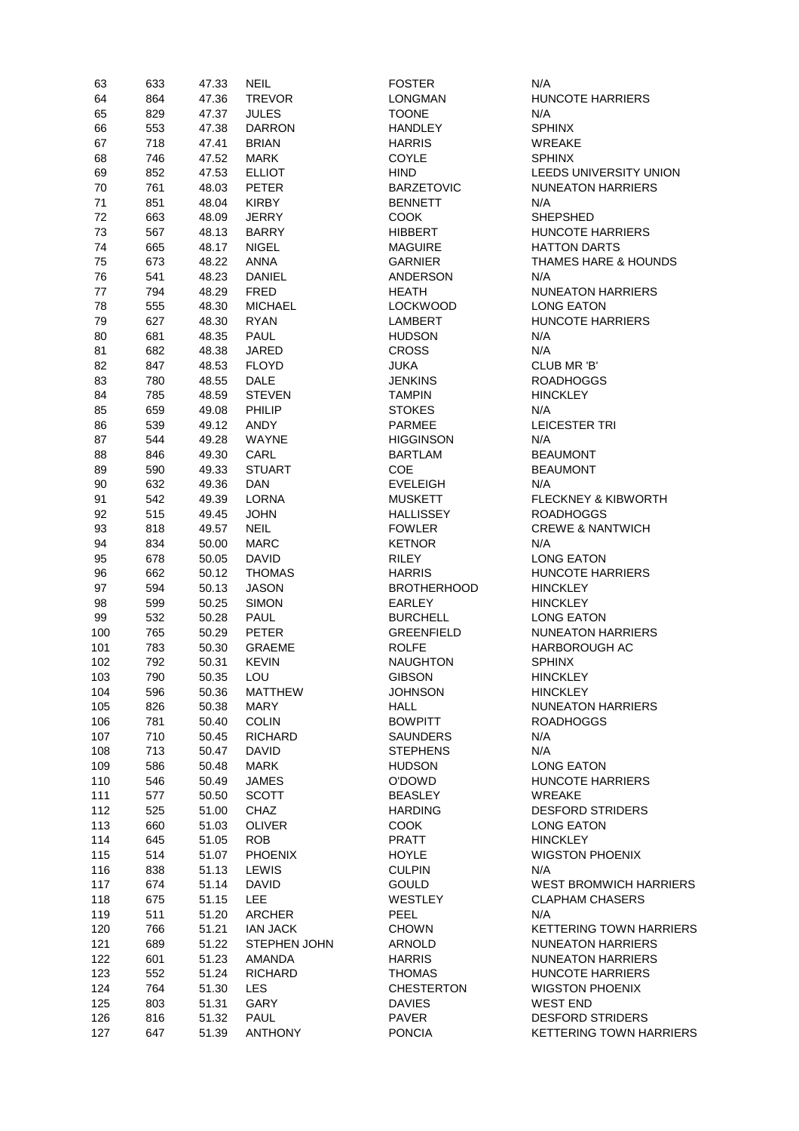| 63  | 633 | 47.33 | <b>NEIL</b>         | <b>FOSTER</b>      | N/A                             |
|-----|-----|-------|---------------------|--------------------|---------------------------------|
| 64  | 864 | 47.36 | <b>TREVOR</b>       | <b>LONGMAN</b>     | HUNCOTE HARRIERS                |
| 65  | 829 | 47.37 | <b>JULES</b>        | <b>TOONE</b>       | N/A                             |
| 66  | 553 | 47.38 | <b>DARRON</b>       | <b>HANDLEY</b>     | <b>SPHINX</b>                   |
|     |     |       |                     |                    |                                 |
| 67  | 718 | 47.41 | <b>BRIAN</b>        | <b>HARRIS</b>      | <b>WREAKE</b>                   |
| 68  | 746 | 47.52 | <b>MARK</b>         | <b>COYLE</b>       | <b>SPHINX</b>                   |
| 69  | 852 | 47.53 | <b>ELLIOT</b>       | <b>HIND</b>        | LEEDS UNIVERSITY UNION          |
| 70  | 761 | 48.03 | <b>PETER</b>        | <b>BARZETOVIC</b>  | <b>NUNEATON HARRIERS</b>        |
| 71  | 851 | 48.04 | <b>KIRBY</b>        | <b>BENNETT</b>     | N/A                             |
| 72  | 663 | 48.09 | <b>JERRY</b>        | <b>COOK</b>        | <b>SHEPSHED</b>                 |
|     |     |       |                     |                    |                                 |
| 73  | 567 | 48.13 | <b>BARRY</b>        | <b>HIBBERT</b>     | <b>HUNCOTE HARRIERS</b>         |
| 74  | 665 | 48.17 | <b>NIGEL</b>        | <b>MAGUIRE</b>     | <b>HATTON DARTS</b>             |
| 75  | 673 | 48.22 | <b>ANNA</b>         | <b>GARNIER</b>     | <b>THAMES HARE &amp; HOUNDS</b> |
| 76  | 541 | 48.23 | <b>DANIEL</b>       | <b>ANDERSON</b>    | N/A                             |
| 77  | 794 | 48.29 | <b>FRED</b>         | <b>HEATH</b>       | <b>NUNEATON HARRIERS</b>        |
| 78  | 555 | 48.30 | <b>MICHAEL</b>      | <b>LOCKWOOD</b>    | <b>LONG EATON</b>               |
|     |     |       |                     |                    | HUNCOTE HARRIERS                |
| 79  | 627 | 48.30 | <b>RYAN</b>         | <b>LAMBERT</b>     |                                 |
| 80  | 681 | 48.35 | <b>PAUL</b>         | <b>HUDSON</b>      | N/A                             |
| 81  | 682 | 48.38 | <b>JARED</b>        | <b>CROSS</b>       | N/A                             |
| 82  | 847 | 48.53 | <b>FLOYD</b>        | <b>JUKA</b>        | CLUB MR 'B'                     |
| 83  | 780 | 48.55 | <b>DALE</b>         | <b>JENKINS</b>     | <b>ROADHOGGS</b>                |
| 84  | 785 | 48.59 | <b>STEVEN</b>       | <b>TAMPIN</b>      | <b>HINCKLEY</b>                 |
| 85  | 659 | 49.08 | PHILIP              | <b>STOKES</b>      | N/A                             |
|     |     |       |                     |                    |                                 |
| 86  | 539 | 49.12 | <b>ANDY</b>         | <b>PARMEE</b>      | <b>LEICESTER TRI</b>            |
| 87  | 544 | 49.28 | <b>WAYNE</b>        | <b>HIGGINSON</b>   | N/A                             |
| 88  | 846 | 49.30 | CARL                | <b>BARTLAM</b>     | <b>BEAUMONT</b>                 |
| 89  | 590 | 49.33 | <b>STUART</b>       | <b>COE</b>         | <b>BEAUMONT</b>                 |
| 90  | 632 | 49.36 | <b>DAN</b>          | <b>EVELEIGH</b>    | N/A                             |
| 91  | 542 | 49.39 | <b>LORNA</b>        | <b>MUSKETT</b>     | <b>FLECKNEY &amp; KIBWORTH</b>  |
| 92  | 515 | 49.45 | <b>JOHN</b>         | <b>HALLISSEY</b>   | <b>ROADHOGGS</b>                |
|     |     |       |                     |                    |                                 |
| 93  | 818 | 49.57 | <b>NEIL</b>         | <b>FOWLER</b>      | <b>CREWE &amp; NANTWICH</b>     |
| 94  | 834 | 50.00 | <b>MARC</b>         | <b>KETNOR</b>      | N/A                             |
| 95  | 678 | 50.05 | <b>DAVID</b>        | <b>RILEY</b>       | <b>LONG EATON</b>               |
| 96  | 662 | 50.12 | <b>THOMAS</b>       | <b>HARRIS</b>      | <b>HUNCOTE HARRIERS</b>         |
| 97  | 594 | 50.13 | <b>JASON</b>        | <b>BROTHERHOOD</b> | <b>HINCKLEY</b>                 |
| 98  | 599 | 50.25 | <b>SIMON</b>        | <b>EARLEY</b>      | <b>HINCKLEY</b>                 |
| 99  | 532 | 50.28 | <b>PAUL</b>         | <b>BURCHELL</b>    | <b>LONG EATON</b>               |
|     | 765 | 50.29 | <b>PETER</b>        | <b>GREENFIELD</b>  | <b>NUNEATON HARRIERS</b>        |
| 100 |     |       |                     |                    |                                 |
| 101 | 783 | 50.30 | <b>GRAEME</b>       | <b>ROLFE</b>       | <b>HARBOROUGH AC</b>            |
| 102 | 792 | 50.31 | <b>KEVIN</b>        | <b>NAUGHTON</b>    | <b>SPHINX</b>                   |
| 103 | 790 | 50.35 | LOU                 | <b>GIBSON</b>      | <b>HINCKLEY</b>                 |
| 104 | 596 | 50.36 | <b>MATTHEW</b>      | <b>JOHNSON</b>     | <b>HINCKLEY</b>                 |
| 105 | 826 | 50.38 | <b>MARY</b>         | <b>HALL</b>        | <b>NUNEATON HARRIERS</b>        |
| 106 | 781 | 50.40 | <b>COLIN</b>        | <b>BOWPITT</b>     | <b>ROADHOGGS</b>                |
| 107 | 710 | 50.45 | <b>RICHARD</b>      | <b>SAUNDERS</b>    | N/A                             |
|     |     |       |                     |                    |                                 |
| 108 | 713 | 50.47 | <b>DAVID</b>        | <b>STEPHENS</b>    | N/A                             |
| 109 | 586 | 50.48 | <b>MARK</b>         | <b>HUDSON</b>      | <b>LONG EATON</b>               |
| 110 | 546 | 50.49 | JAMES               | O'DOWD             | <b>HUNCOTE HARRIERS</b>         |
| 111 | 577 | 50.50 | <b>SCOTT</b>        | <b>BEASLEY</b>     | <b>WREAKE</b>                   |
| 112 | 525 | 51.00 | <b>CHAZ</b>         | <b>HARDING</b>     | <b>DESFORD STRIDERS</b>         |
| 113 | 660 | 51.03 | <b>OLIVER</b>       | <b>COOK</b>        | <b>LONG EATON</b>               |
| 114 | 645 | 51.05 | <b>ROB</b>          | <b>PRATT</b>       | <b>HINCKLEY</b>                 |
| 115 | 514 | 51.07 | <b>PHOENIX</b>      | <b>HOYLE</b>       | <b>WIGSTON PHOENIX</b>          |
|     |     |       |                     |                    |                                 |
| 116 | 838 | 51.13 | LEWIS               | <b>CULPIN</b>      | N/A                             |
| 117 | 674 | 51.14 | <b>DAVID</b>        | <b>GOULD</b>       | <b>WEST BROMWICH HARRIERS</b>   |
| 118 | 675 | 51.15 | <b>LEE</b>          | WESTLEY            | <b>CLAPHAM CHASERS</b>          |
| 119 | 511 | 51.20 | <b>ARCHER</b>       | PEEL               | N/A                             |
| 120 | 766 | 51.21 | <b>IAN JACK</b>     | <b>CHOWN</b>       | <b>KETTERING TOWN HARRIERS</b>  |
| 121 | 689 | 51.22 | <b>STEPHEN JOHN</b> | ARNOLD             | <b>NUNEATON HARRIERS</b>        |
| 122 | 601 | 51.23 | AMANDA              | <b>HARRIS</b>      | <b>NUNEATON HARRIERS</b>        |
|     |     |       |                     |                    |                                 |
| 123 | 552 | 51.24 | <b>RICHARD</b>      | <b>THOMAS</b>      | <b>HUNCOTE HARRIERS</b>         |
| 124 | 764 | 51.30 | LES                 | <b>CHESTERTON</b>  | <b>WIGSTON PHOENIX</b>          |
| 125 | 803 | 51.31 | GARY                | <b>DAVIES</b>      | <b>WEST END</b>                 |
| 126 | 816 | 51.32 | <b>PAUL</b>         | PAVER              | <b>DESFORD STRIDERS</b>         |
| 127 | 647 | 51.39 | <b>ANTHONY</b>      | <b>PONCIA</b>      | <b>KETTERING TOWN HARRIERS</b>  |
|     |     |       |                     |                    |                                 |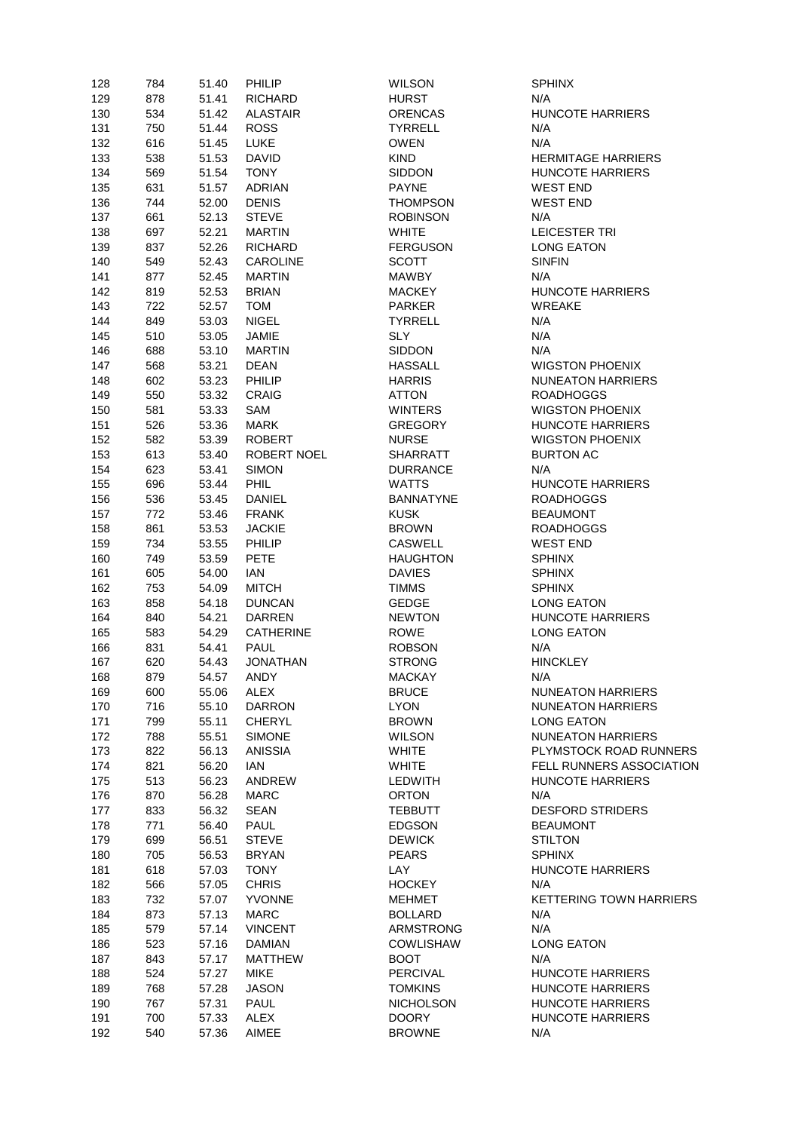| 128 | 784 | 51.40 | PHILIP             | <b>WILSON</b>    | <b>SPHINX</b>        |
|-----|-----|-------|--------------------|------------------|----------------------|
| 129 | 878 | 51.41 | <b>RICHARD</b>     | <b>HURST</b>     | N/A                  |
| 130 | 534 | 51.42 | <b>ALASTAIR</b>    | <b>ORENCAS</b>   | <b>HUNCOTE HAR</b>   |
| 131 | 750 | 51.44 | <b>ROSS</b>        | <b>TYRRELL</b>   | N/A                  |
| 132 | 616 | 51.45 | <b>LUKE</b>        | <b>OWEN</b>      | N/A                  |
| 133 | 538 | 51.53 | <b>DAVID</b>       | <b>KIND</b>      | <b>HERMITAGE HA</b>  |
| 134 | 569 | 51.54 | <b>TONY</b>        | SIDDON           | <b>HUNCOTE HAR</b>   |
| 135 | 631 | 51.57 | ADRIAN             | <b>PAYNE</b>     | <b>WEST END</b>      |
| 136 | 744 | 52.00 | <b>DENIS</b>       | <b>THOMPSON</b>  | <b>WEST END</b>      |
| 137 | 661 | 52.13 | <b>STEVE</b>       | <b>ROBINSON</b>  | N/A                  |
| 138 | 697 | 52.21 | <b>MARTIN</b>      | <b>WHITE</b>     | <b>LEICESTER TRI</b> |
| 139 | 837 | 52.26 | <b>RICHARD</b>     | <b>FERGUSON</b>  | <b>LONG EATON</b>    |
| 140 | 549 | 52.43 | <b>CAROLINE</b>    | <b>SCOTT</b>     | <b>SINFIN</b>        |
| 141 | 877 | 52.45 | <b>MARTIN</b>      | <b>MAWBY</b>     | N/A                  |
| 142 | 819 | 52.53 | <b>BRIAN</b>       | <b>MACKEY</b>    | <b>HUNCOTE HAR</b>   |
| 143 | 722 | 52.57 | <b>TOM</b>         | <b>PARKER</b>    | <b>WREAKE</b>        |
| 144 | 849 | 53.03 | <b>NIGEL</b>       | <b>TYRRELL</b>   | N/A                  |
| 145 | 510 | 53.05 | JAMIE              | <b>SLY</b>       | N/A                  |
| 146 | 688 | 53.10 | <b>MARTIN</b>      | <b>SIDDON</b>    | N/A                  |
| 147 | 568 | 53.21 | <b>DEAN</b>        | <b>HASSALL</b>   | <b>WIGSTON PHO</b>   |
| 148 | 602 | 53.23 | PHILIP             | <b>HARRIS</b>    | <b>NUNEATON HAI</b>  |
| 149 | 550 | 53.32 | <b>CRAIG</b>       | <b>ATTON</b>     | <b>ROADHOGGS</b>     |
|     | 581 |       | SAM                | <b>WINTERS</b>   | <b>WIGSTON PHO</b>   |
| 150 |     | 53.33 |                    |                  |                      |
| 151 | 526 | 53.36 | <b>MARK</b>        | <b>GREGORY</b>   | <b>HUNCOTE HAR</b>   |
| 152 | 582 | 53.39 | <b>ROBERT</b>      | <b>NURSE</b>     | <b>WIGSTON PHO</b>   |
| 153 | 613 | 53.40 | <b>ROBERT NOEL</b> | <b>SHARRATT</b>  | <b>BURTON AC</b>     |
| 154 | 623 | 53.41 | <b>SIMON</b>       | <b>DURRANCE</b>  | N/A                  |
| 155 | 696 | 53.44 | <b>PHIL</b>        | <b>WATTS</b>     | <b>HUNCOTE HAR</b>   |
| 156 | 536 | 53.45 | <b>DANIEL</b>      | <b>BANNATYNE</b> | <b>ROADHOGGS</b>     |
| 157 | 772 | 53.46 | <b>FRANK</b>       | <b>KUSK</b>      | <b>BEAUMONT</b>      |
| 158 | 861 | 53.53 | <b>JACKIE</b>      | <b>BROWN</b>     | <b>ROADHOGGS</b>     |
| 159 | 734 | 53.55 | PHILIP             | <b>CASWELL</b>   | <b>WEST END</b>      |
| 160 | 749 | 53.59 | <b>PETE</b>        | <b>HAUGHTON</b>  | <b>SPHINX</b>        |
| 161 | 605 | 54.00 | <b>IAN</b>         | <b>DAVIES</b>    | <b>SPHINX</b>        |
| 162 | 753 | 54.09 | <b>MITCH</b>       | <b>TIMMS</b>     | <b>SPHINX</b>        |
| 163 | 858 | 54.18 | <b>DUNCAN</b>      | <b>GEDGE</b>     | <b>LONG EATON</b>    |
| 164 | 840 | 54.21 | <b>DARREN</b>      | <b>NEWTON</b>    | <b>HUNCOTE HAR</b>   |
| 165 | 583 | 54.29 | <b>CATHERINE</b>   | <b>ROWE</b>      | <b>LONG EATON</b>    |
| 166 | 831 | 54.41 | <b>PAUL</b>        | <b>ROBSON</b>    | N/A                  |
| 167 | 620 | 54.43 | <b>JONATHAN</b>    | <b>STRONG</b>    | <b>HINCKLEY</b>      |
| 168 | 879 | 54.57 | <b>ANDY</b>        | <b>MACKAY</b>    | N/A                  |
| 169 | 600 | 55.06 | ALEX               | <b>BRUCE</b>     | <b>NUNEATON HAI</b>  |
| 170 | 716 | 55.10 | <b>DARRON</b>      | <b>LYON</b>      | <b>NUNEATON HAI</b>  |
| 171 | 799 | 55.11 | <b>CHERYL</b>      | <b>BROWN</b>     | LONG EATON           |
| 172 | 788 | 55.51 | <b>SIMONE</b>      | <b>WILSON</b>    | <b>NUNEATON HAI</b>  |
| 173 | 822 | 56.13 | ANISSIA            | <b>WHITE</b>     | PLYMSTOCK RO         |
| 174 | 821 | 56.20 | ian                | <b>WHITE</b>     | <b>FELL RUNNERS</b>  |
| 175 | 513 | 56.23 | ANDREW             | LEDWITH          | HUNCOTE HAR          |
| 176 | 870 | 56.28 | <b>MARC</b>        | <b>ORTON</b>     | N/A                  |
| 177 | 833 | 56.32 | SEAN               | <b>TEBBUTT</b>   | <b>DESFORD STRI</b>  |
| 178 | 771 | 56.40 | <b>PAUL</b>        | <b>EDGSON</b>    | <b>BEAUMONT</b>      |
| 179 | 699 | 56.51 | <b>STEVE</b>       | <b>DEWICK</b>    | <b>STILTON</b>       |
| 180 | 705 | 56.53 | <b>BRYAN</b>       | <b>PEARS</b>     | <b>SPHINX</b>        |
| 181 | 618 | 57.03 | <b>TONY</b>        | LAY              | HUNCOTE HAR          |
| 182 | 566 | 57.05 | <b>CHRIS</b>       | <b>HOCKEY</b>    | N/A                  |
| 183 | 732 | 57.07 | YVONNE             | <b>MEHMET</b>    | <b>KETTERING TO</b>  |
|     |     |       |                    |                  | N/A                  |
| 184 | 873 | 57.13 | <b>MARC</b>        | <b>BOLLARD</b>   |                      |
| 185 | 579 | 57.14 | <b>VINCENT</b>     | ARMSTRONG        | N/A                  |
| 186 | 523 | 57.16 | <b>DAMIAN</b>      | <b>COWLISHAW</b> | <b>LONG EATON</b>    |
| 187 | 843 | 57.17 | <b>MATTHEW</b>     | <b>BOOT</b>      | N/A                  |
| 188 | 524 | 57.27 | <b>MIKE</b>        | <b>PERCIVAL</b>  | <b>HUNCOTE HAR</b>   |
| 189 | 768 | 57.28 | <b>JASON</b>       | <b>TOMKINS</b>   | HUNCOTE HAR          |
| 190 | 767 | 57.31 | <b>PAUL</b>        | <b>NICHOLSON</b> | HUNCOTE HAR          |
| 191 | 700 | 57.33 | ALEX               | <b>DOORY</b>     | HUNCOTE HAR          |
| 192 | 540 | 57.36 | AIMEE              | <b>BROWNE</b>    | N/A                  |

**TE HARRIERS AGE HARRIERS TE HARRIERS TE HARRIERS N PHOENIX** TON HARRIERS **N PHOENIX TE HARRIERS** IN PHOENIX **TE HARRIERS TE HARRIERS** TON HARRIERS TON HARRIERS TON HARRIERS TOCK ROAD RUNNERS JNNERS ASSOCIATION **TE HARRIERS** RD STRIDERS **TE HARRIERS ING TOWN HARRIERS TE HARRIERS TE HARRIERS TE HARRIERS TE HARRIERS**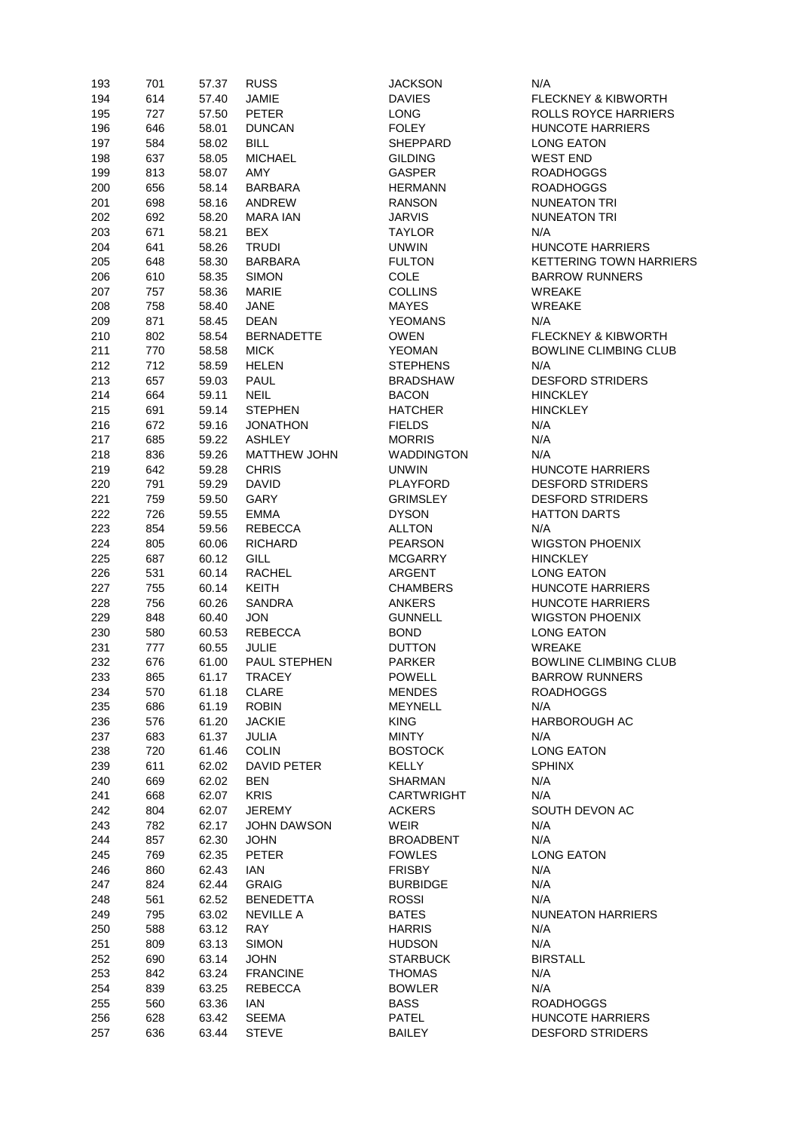| 193 | 701 | 57.37 | <b>RUSS</b>           | <b>JACKSON</b>    | N/A                            |
|-----|-----|-------|-----------------------|-------------------|--------------------------------|
| 194 | 614 | 57.40 | JAMIE                 | <b>DAVIES</b>     | FLECKNEY & KIBWORTH            |
| 195 | 727 | 57.50 | <b>PETER</b>          | <b>LONG</b>       | <b>ROLLS ROYCE HARRIERS</b>    |
| 196 | 646 | 58.01 | <b>DUNCAN</b>         | <b>FOLEY</b>      | <b>HUNCOTE HARRIERS</b>        |
| 197 | 584 | 58.02 | <b>BILL</b>           | <b>SHEPPARD</b>   | <b>LONG EATON</b>              |
| 198 | 637 | 58.05 | <b>MICHAEL</b>        | <b>GILDING</b>    | <b>WEST END</b>                |
|     |     |       |                       | <b>GASPER</b>     |                                |
| 199 | 813 | 58.07 | AMY                   |                   | <b>ROADHOGGS</b>               |
| 200 | 656 | 58.14 | <b>BARBARA</b>        | <b>HERMANN</b>    | <b>ROADHOGGS</b>               |
| 201 | 698 | 58.16 | ANDREW                | <b>RANSON</b>     | <b>NUNEATON TRI</b>            |
| 202 | 692 | 58.20 | <b>MARA IAN</b>       | <b>JARVIS</b>     | <b>NUNEATON TRI</b>            |
| 203 | 671 | 58.21 | <b>BEX</b>            | <b>TAYLOR</b>     | N/A                            |
| 204 | 641 | 58.26 | <b>TRUDI</b>          | <b>UNWIN</b>      | <b>HUNCOTE HARRIERS</b>        |
| 205 | 648 | 58.30 | <b>BARBARA</b>        | <b>FULTON</b>     | <b>KETTERING TOWN HARRIERS</b> |
| 206 | 610 | 58.35 | <b>SIMON</b>          | COLE              | <b>BARROW RUNNERS</b>          |
| 207 | 757 | 58.36 | <b>MARIE</b>          | <b>COLLINS</b>    | <b>WREAKE</b>                  |
| 208 | 758 | 58.40 | <b>JANE</b>           | <b>MAYES</b>      | <b>WREAKE</b>                  |
| 209 | 871 | 58.45 | <b>DEAN</b>           | <b>YEOMANS</b>    | N/A                            |
| 210 | 802 | 58.54 | <b>BERNADETTE</b>     | <b>OWEN</b>       | <b>FLECKNEY &amp; KIBWORTH</b> |
| 211 | 770 | 58.58 | <b>MICK</b>           | <b>YEOMAN</b>     | <b>BOWLINE CLIMBING CLUB</b>   |
| 212 | 712 | 58.59 | <b>HELEN</b>          | <b>STEPHENS</b>   | N/A                            |
| 213 | 657 | 59.03 | <b>PAUL</b>           | <b>BRADSHAW</b>   | <b>DESFORD STRIDERS</b>        |
|     |     |       |                       |                   |                                |
| 214 | 664 | 59.11 | <b>NEIL</b>           | <b>BACON</b>      | <b>HINCKLEY</b>                |
| 215 | 691 | 59.14 | <b>STEPHEN</b>        | <b>HATCHER</b>    | <b>HINCKLEY</b>                |
| 216 | 672 | 59.16 | <b>JONATHON</b>       | <b>FIELDS</b>     | N/A                            |
| 217 | 685 | 59.22 | <b>ASHLEY</b>         | <b>MORRIS</b>     | N/A                            |
| 218 | 836 | 59.26 | <b>MATTHEW JOHN</b>   | <b>WADDINGTON</b> | N/A                            |
| 219 | 642 | 59.28 | <b>CHRIS</b>          | <b>UNWIN</b>      | HUNCOTE HARRIERS               |
| 220 | 791 | 59.29 | <b>DAVID</b>          | <b>PLAYFORD</b>   | <b>DESFORD STRIDERS</b>        |
| 221 | 759 | 59.50 | GARY                  | <b>GRIMSLEY</b>   | <b>DESFORD STRIDERS</b>        |
| 222 | 726 | 59.55 | <b>EMMA</b>           | <b>DYSON</b>      | <b>HATTON DARTS</b>            |
| 223 | 854 | 59.56 | REBECCA               | <b>ALLTON</b>     | N/A                            |
| 224 | 805 | 60.06 | <b>RICHARD</b>        | <b>PEARSON</b>    | <b>WIGSTON PHOENIX</b>         |
| 225 | 687 | 60.12 | <b>GILL</b>           | <b>MCGARRY</b>    | <b>HINCKLEY</b>                |
| 226 | 531 | 60.14 | <b>RACHEL</b>         | <b>ARGENT</b>     | <b>LONG EATON</b>              |
| 227 | 755 | 60.14 | <b>KEITH</b>          | <b>CHAMBERS</b>   | <b>HUNCOTE HARRIERS</b>        |
| 228 | 756 | 60.26 | <b>SANDRA</b>         | <b>ANKERS</b>     | <b>HUNCOTE HARRIERS</b>        |
| 229 | 848 | 60.40 | <b>JON</b>            | <b>GUNNELL</b>    | <b>WIGSTON PHOENIX</b>         |
| 230 | 580 | 60.53 | <b>REBECCA</b>        | <b>BOND</b>       | <b>LONG EATON</b>              |
| 231 | 777 | 60.55 | <b>JULIE</b>          | <b>DUTTON</b>     | <b>WREAKE</b>                  |
| 232 | 676 | 61.00 | PAUL STEPHEN          | <b>PARKER</b>     | <b>BOWLINE CLIMBING CLUB</b>   |
| 233 | 865 | 61.17 | <b>TRACEY</b>         | <b>POWELL</b>     | <b>BARROW RUNNERS</b>          |
| 234 | 570 | 61.18 | <b>CLARE</b>          | <b>MENDES</b>     | <b>ROADHOGGS</b>               |
| 235 | 686 | 61.19 | <b>ROBIN</b>          | MEYNELL           | N/A                            |
| 236 | 576 | 61.20 | <b>JACKIE</b>         | <b>KING</b>       | <b>HARBOROUGH AC</b>           |
|     |     |       |                       | <b>MINTY</b>      | N/A                            |
| 237 | 683 | 61.37 | JULIA<br><b>COLIN</b> | <b>BOSTOCK</b>    | <b>LONG EATON</b>              |
| 238 | 720 | 61.46 |                       |                   |                                |
| 239 | 611 | 62.02 | DAVID PETER           | KELLY             | <b>SPHINX</b>                  |
| 240 | 669 | 62.02 | <b>BEN</b>            | <b>SHARMAN</b>    | N/A                            |
| 241 | 668 | 62.07 | <b>KRIS</b>           | <b>CARTWRIGHT</b> | N/A                            |
| 242 | 804 | 62.07 | <b>JEREMY</b>         | <b>ACKERS</b>     | SOUTH DEVON AC                 |
| 243 | 782 | 62.17 | JOHN DAWSON           | WEIR              | N/A                            |
| 244 | 857 | 62.30 | <b>JOHN</b>           | <b>BROADBENT</b>  | N/A                            |
| 245 | 769 | 62.35 | <b>PETER</b>          | <b>FOWLES</b>     | <b>LONG EATON</b>              |
| 246 | 860 | 62.43 | IAN                   | <b>FRISBY</b>     | N/A                            |
| 247 | 824 | 62.44 | <b>GRAIG</b>          | <b>BURBIDGE</b>   | N/A                            |
| 248 | 561 | 62.52 | <b>BENEDETTA</b>      | <b>ROSSI</b>      | N/A                            |
| 249 | 795 | 63.02 | <b>NEVILLE A</b>      | <b>BATES</b>      | <b>NUNEATON HARRIERS</b>       |
| 250 | 588 | 63.12 | <b>RAY</b>            | <b>HARRIS</b>     | N/A                            |
| 251 | 809 | 63.13 | <b>SIMON</b>          | <b>HUDSON</b>     | N/A                            |
| 252 | 690 | 63.14 | <b>JOHN</b>           | <b>STARBUCK</b>   | <b>BIRSTALL</b>                |
| 253 | 842 | 63.24 | <b>FRANCINE</b>       | <b>THOMAS</b>     | N/A                            |
| 254 | 839 | 63.25 | <b>REBECCA</b>        | <b>BOWLER</b>     | N/A                            |
| 255 | 560 | 63.36 | ian                   | <b>BASS</b>       | <b>ROADHOGGS</b>               |
| 256 | 628 | 63.42 | <b>SEEMA</b>          | <b>PATEL</b>      | <b>HUNCOTE HARRIERS</b>        |
| 257 | 636 | 63.44 | <b>STEVE</b>          | <b>BAILEY</b>     | <b>DESFORD STRIDERS</b>        |
|     |     |       |                       |                   |                                |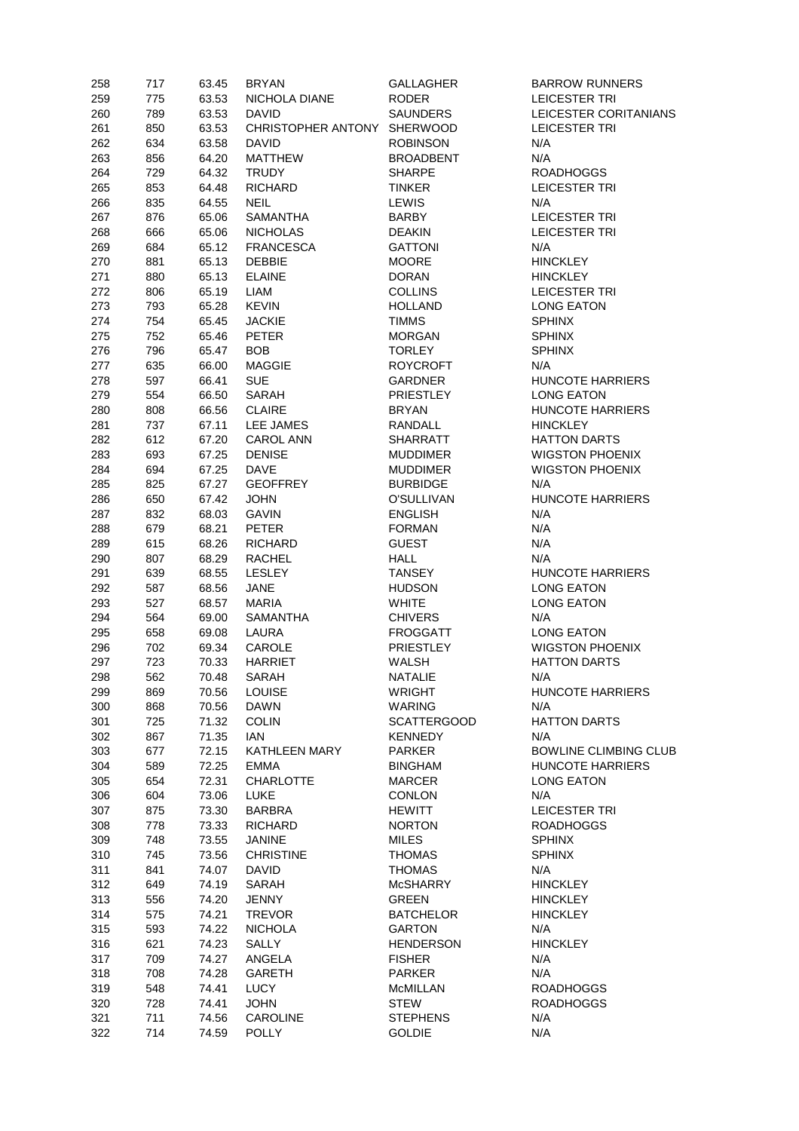| 258 | 717 | 63.45 | <b>BRYAN</b>                | <b>GALLAGHER</b>   | <b>BARROW RUNNERS</b>        |
|-----|-----|-------|-----------------------------|--------------------|------------------------------|
| 259 | 775 | 63.53 | NICHOLA DIANE               | <b>RODER</b>       | <b>LEICESTER TRI</b>         |
| 260 | 789 | 63.53 | <b>DAVID</b>                | <b>SAUNDERS</b>    | LEICESTER CORITANIANS        |
| 261 | 850 | 63.53 | CHRISTOPHER ANTONY SHERWOOD |                    | <b>LEICESTER TRI</b>         |
| 262 | 634 | 63.58 | <b>DAVID</b>                | <b>ROBINSON</b>    | N/A                          |
| 263 | 856 | 64.20 | <b>MATTHEW</b>              | <b>BROADBENT</b>   | N/A                          |
| 264 | 729 | 64.32 | <b>TRUDY</b>                | <b>SHARPE</b>      | <b>ROADHOGGS</b>             |
| 265 | 853 | 64.48 | <b>RICHARD</b>              | <b>TINKER</b>      | <b>LEICESTER TRI</b>         |
| 266 | 835 | 64.55 | <b>NEIL</b>                 | <b>LEWIS</b>       | N/A                          |
| 267 | 876 | 65.06 | <b>SAMANTHA</b>             | <b>BARBY</b>       | <b>LEICESTER TRI</b>         |
| 268 | 666 | 65.06 | <b>NICHOLAS</b>             | <b>DEAKIN</b>      | <b>LEICESTER TRI</b>         |
| 269 | 684 | 65.12 | <b>FRANCESCA</b>            | <b>GATTONI</b>     | N/A                          |
| 270 | 881 | 65.13 | <b>DEBBIE</b>               | <b>MOORE</b>       | <b>HINCKLEY</b>              |
| 271 |     | 65.13 | <b>ELAINE</b>               | <b>DORAN</b>       | <b>HINCKLEY</b>              |
|     | 880 |       |                             |                    |                              |
| 272 | 806 | 65.19 | <b>LIAM</b>                 | <b>COLLINS</b>     | <b>LEICESTER TRI</b>         |
| 273 | 793 | 65.28 | <b>KEVIN</b>                | <b>HOLLAND</b>     | <b>LONG EATON</b>            |
| 274 | 754 | 65.45 | <b>JACKIE</b>               | <b>TIMMS</b>       | <b>SPHINX</b>                |
| 275 | 752 | 65.46 | <b>PETER</b>                | <b>MORGAN</b>      | <b>SPHINX</b>                |
| 276 | 796 | 65.47 | <b>BOB</b>                  | <b>TORLEY</b>      | <b>SPHINX</b>                |
| 277 | 635 | 66.00 | <b>MAGGIE</b>               | <b>ROYCROFT</b>    | N/A                          |
| 278 | 597 | 66.41 | <b>SUE</b>                  | <b>GARDNER</b>     | <b>HUNCOTE HARRIERS</b>      |
| 279 | 554 | 66.50 | SARAH                       | PRIESTLEY          | <b>LONG EATON</b>            |
| 280 | 808 | 66.56 | <b>CLAIRE</b>               | <b>BRYAN</b>       | <b>HUNCOTE HARRIERS</b>      |
| 281 | 737 | 67.11 | LEE JAMES                   | RANDALL            | <b>HINCKLEY</b>              |
| 282 | 612 | 67.20 | <b>CAROL ANN</b>            | <b>SHARRATT</b>    | <b>HATTON DARTS</b>          |
| 283 | 693 | 67.25 | <b>DENISE</b>               | <b>MUDDIMER</b>    | <b>WIGSTON PHOENIX</b>       |
| 284 | 694 | 67.25 | <b>DAVE</b>                 | <b>MUDDIMER</b>    | <b>WIGSTON PHOENIX</b>       |
| 285 | 825 | 67.27 | <b>GEOFFREY</b>             | <b>BURBIDGE</b>    | N/A                          |
| 286 | 650 | 67.42 | <b>JOHN</b>                 | O'SULLIVAN         | <b>HUNCOTE HARRIERS</b>      |
| 287 | 832 | 68.03 | <b>GAVIN</b>                | <b>ENGLISH</b>     | N/A                          |
| 288 | 679 | 68.21 | <b>PETER</b>                | <b>FORMAN</b>      | N/A                          |
| 289 | 615 | 68.26 | <b>RICHARD</b>              | <b>GUEST</b>       | N/A                          |
| 290 | 807 | 68.29 | RACHEL                      | <b>HALL</b>        | N/A                          |
|     |     |       |                             |                    |                              |
| 291 | 639 | 68.55 | <b>LESLEY</b>               | <b>TANSEY</b>      | <b>HUNCOTE HARRIERS</b>      |
| 292 | 587 | 68.56 | <b>JANE</b>                 | <b>HUDSON</b>      | <b>LONG EATON</b>            |
| 293 | 527 | 68.57 | <b>MARIA</b>                | <b>WHITE</b>       | <b>LONG EATON</b>            |
| 294 | 564 | 69.00 | <b>SAMANTHA</b>             | <b>CHIVERS</b>     | N/A                          |
| 295 | 658 | 69.08 | LAURA                       | <b>FROGGATT</b>    | <b>LONG EATON</b>            |
| 296 | 702 | 69.34 | CAROLE                      | PRIESTLEY          | <b>WIGSTON PHOENIX</b>       |
| 297 | 723 | 70.33 | <b>HARRIET</b>              | WALSH              | <b>HATTON DARTS</b>          |
| 298 | 562 | 70.48 | <b>SARAH</b>                | <b>NATALIE</b>     | N/A                          |
| 299 | 869 | 70.56 | <b>LOUISE</b>               | <b>WRIGHT</b>      | HUNCOTE HARRIERS             |
| 300 | 868 | 70.56 | <b>DAWN</b>                 | WARING             | N/A                          |
| 301 | 725 | 71.32 | <b>COLIN</b>                | <b>SCATTERGOOD</b> | <b>HATTON DARTS</b>          |
| 302 | 867 | 71.35 | IAN                         | <b>KENNEDY</b>     | N/A                          |
| 303 | 677 | 72.15 | <b>KATHLEEN MARY</b>        | <b>PARKER</b>      | <b>BOWLINE CLIMBING CLUB</b> |
| 304 | 589 | 72.25 | <b>EMMA</b>                 | <b>BINGHAM</b>     | HUNCOTE HARRIERS             |
| 305 | 654 | 72.31 | <b>CHARLOTTE</b>            | <b>MARCER</b>      | <b>LONG EATON</b>            |
| 306 | 604 | 73.06 | <b>LUKE</b>                 | <b>CONLON</b>      | N/A                          |
| 307 | 875 | 73.30 | BARBRA                      | <b>HEWITT</b>      | <b>LEICESTER TRI</b>         |
| 308 | 778 | 73.33 | <b>RICHARD</b>              | <b>NORTON</b>      | <b>ROADHOGGS</b>             |
|     |     |       |                             |                    | <b>SPHINX</b>                |
| 309 | 748 | 73.55 | JANINE                      | <b>MILES</b>       |                              |
| 310 | 745 | 73.56 | <b>CHRISTINE</b>            | <b>THOMAS</b>      | <b>SPHINX</b>                |
| 311 | 841 | 74.07 | <b>DAVID</b>                | <b>THOMAS</b>      | N/A                          |
| 312 | 649 | 74.19 | SARAH                       | McSHARRY           | <b>HINCKLEY</b>              |
| 313 | 556 | 74.20 | <b>JENNY</b>                | <b>GREEN</b>       | <b>HINCKLEY</b>              |
| 314 | 575 | 74.21 | <b>TREVOR</b>               | <b>BATCHELOR</b>   | <b>HINCKLEY</b>              |
| 315 | 593 | 74.22 | <b>NICHOLA</b>              | <b>GARTON</b>      | N/A                          |
| 316 | 621 | 74.23 | SALLY                       | <b>HENDERSON</b>   | <b>HINCKLEY</b>              |
| 317 | 709 | 74.27 | ANGELA                      | <b>FISHER</b>      | N/A                          |
| 318 | 708 | 74.28 | GARETH                      | <b>PARKER</b>      | N/A                          |
| 319 | 548 | 74.41 | <b>LUCY</b>                 | McMILLAN           | <b>ROADHOGGS</b>             |
| 320 | 728 | 74.41 | <b>JOHN</b>                 | <b>STEW</b>        | <b>ROADHOGGS</b>             |
| 321 | 711 | 74.56 | CAROLINE                    | <b>STEPHENS</b>    | N/A                          |
| 322 | 714 | 74.59 | <b>POLLY</b>                | <b>GOLDIE</b>      | N/A                          |
|     |     |       |                             |                    |                              |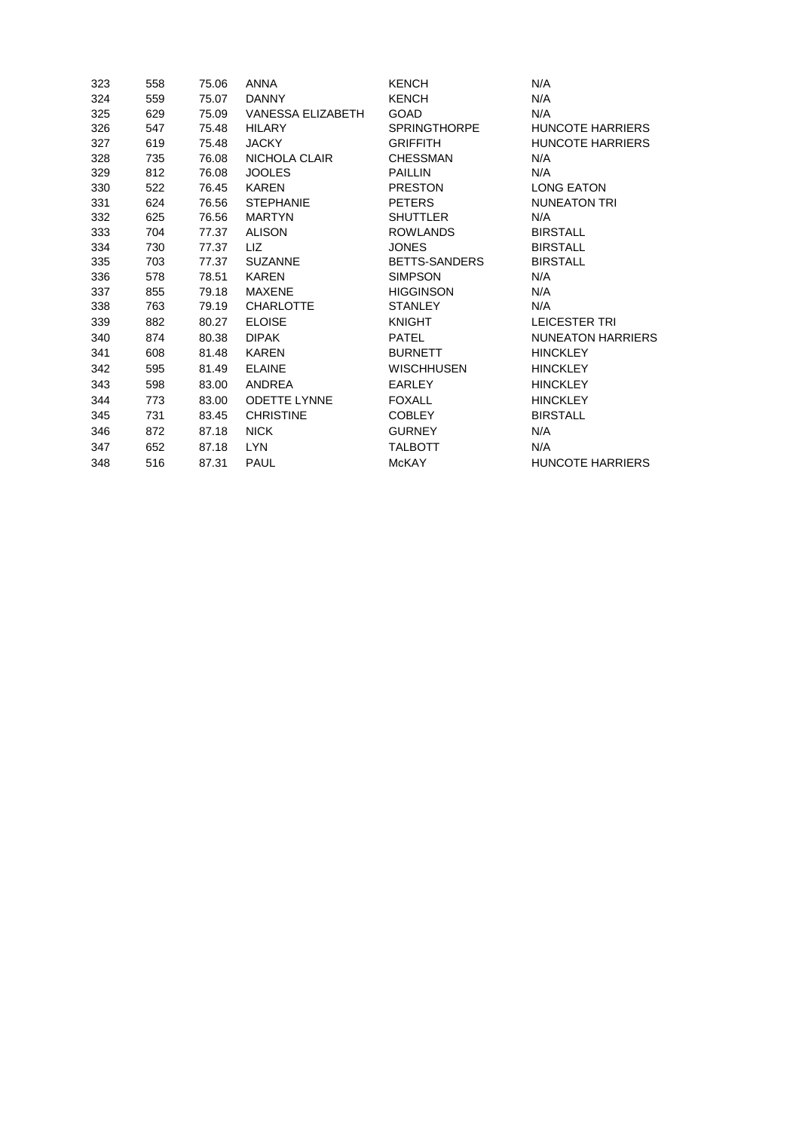| 323 | 558 | 75.06 | <b>ANNA</b>         | <b>KENCH</b>        | N/A                      |
|-----|-----|-------|---------------------|---------------------|--------------------------|
| 324 | 559 | 75.07 | DANNY               | <b>KENCH</b>        | N/A                      |
| 325 | 629 | 75.09 | VANESSA ELIZABETH   | <b>GOAD</b>         | N/A                      |
| 326 | 547 | 75.48 | HILARY              | <b>SPRINGTHORPE</b> | HUNCOTE HARRIERS         |
| 327 | 619 | 75.48 | <b>JACKY</b>        | <b>GRIFFITH</b>     | <b>HUNCOTE HARRIERS</b>  |
| 328 | 735 | 76.08 | NICHOLA CLAIR       | CHESSMAN            | N/A                      |
| 329 | 812 | 76.08 | <b>JOOLES</b>       | <b>PAILLIN</b>      | N/A                      |
| 330 | 522 | 76.45 | KAREN               | <b>PRESTON</b>      | <b>LONG EATON</b>        |
| 331 | 624 | 76.56 | <b>STEPHANIE</b>    | PETERS              | NUNEATON TRI             |
| 332 | 625 | 76.56 | <b>MARTYN</b>       | <b>SHUTTLER</b>     | N/A                      |
| 333 | 704 | 77.37 | ALISON              | <b>ROWLANDS</b>     | <b>BIRSTALL</b>          |
| 334 | 730 | 77.37 | LIZ.                | <b>JONES</b>        | <b>BIRSTALL</b>          |
| 335 | 703 | 77.37 | <b>SUZANNE</b>      | BETTS-SANDERS       | <b>BIRSTALL</b>          |
| 336 | 578 | 78.51 | <b>KAREN</b>        | <b>SIMPSON</b>      | N/A                      |
| 337 | 855 | 79.18 | MAXENE              | <b>HIGGINSON</b>    | N/A                      |
| 338 | 763 | 79.19 | <b>CHARLOTTE</b>    | <b>STANLEY</b>      | N/A                      |
| 339 | 882 | 80.27 | <b>ELOISE</b>       | <b>KNIGHT</b>       | LEICESTER TRI            |
| 340 | 874 | 80.38 | <b>DIPAK</b>        | PATEL               | <b>NUNEATON HARRIERS</b> |
| 341 | 608 | 81.48 | <b>KAREN</b>        | <b>BURNETT</b>      | <b>HINCKLEY</b>          |
| 342 | 595 | 81.49 | <b>ELAINE</b>       | <b>WISCHHUSEN</b>   | <b>HINCKLEY</b>          |
| 343 | 598 | 83.00 | ANDREA              | EARLEY              | <b>HINCKLEY</b>          |
| 344 | 773 | 83.00 | <b>ODETTE LYNNE</b> | <b>FOXALL</b>       | <b>HINCKLEY</b>          |
| 345 | 731 | 83.45 | <b>CHRISTINE</b>    | <b>COBLEY</b>       | <b>BIRSTALL</b>          |
| 346 | 872 | 87.18 | <b>NICK</b>         | <b>GURNEY</b>       | N/A                      |
| 347 | 652 | 87.18 | LYN                 | <b>TALBOTT</b>      | N/A                      |
| 348 | 516 | 87.31 | <b>PAUL</b>         | <b>McKAY</b>        | <b>HUNCOTE HARRIERS</b>  |
|     |     |       |                     |                     |                          |